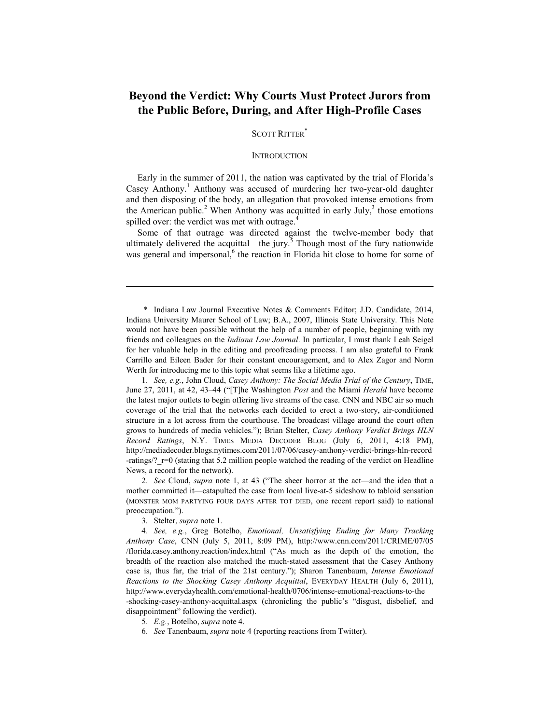# **Beyond the Verdict: Why Courts Must Protect Jurors from the Public Before, During, and After High-Profile Cases**

SCOTT RITTER<sup>\*</sup>

#### **INTRODUCTION**

Early in the summer of 2011, the nation was captivated by the trial of Florida's Casey Anthony.<sup>1</sup> Anthony was accused of murdering her two-year-old daughter and then disposing of the body, an allegation that provoked intense emotions from the American public.<sup>2</sup> When Anthony was acquitted in early July,<sup>3</sup> those emotions spilled over: the verdict was met with outrage.<sup>4</sup>

Some of that outrage was directed against the twelve-member body that ultimately delivered the acquittal—the jury.<sup>5</sup> Though most of the fury nationwide was general and impersonal,<sup>6</sup> the reaction in Florida hit close to home for some of

 \* Indiana Law Journal Executive Notes & Comments Editor; J.D. Candidate, 2014, Indiana University Maurer School of Law; B.A., 2007, Illinois State University. This Note would not have been possible without the help of a number of people, beginning with my friends and colleagues on the *Indiana Law Journal*. In particular, I must thank Leah Seigel for her valuable help in the editing and proofreading process. I am also grateful to Frank Carrillo and Eileen Bader for their constant encouragement, and to Alex Zagor and Norm Werth for introducing me to this topic what seems like a lifetime ago.

 1. *See, e.g.*, John Cloud, *Casey Anthony: The Social Media Trial of the Century*, TIME, June 27, 2011, at 42, 43–44 ("[T]he Washington *Post* and the Miami *Herald* have become the latest major outlets to begin offering live streams of the case. CNN and NBC air so much coverage of the trial that the networks each decided to erect a two-story, air-conditioned structure in a lot across from the courthouse. The broadcast village around the court often grows to hundreds of media vehicles."); Brian Stelter, *Casey Anthony Verdict Brings HLN Record Ratings*, N.Y. TIMES MEDIA DECODER BLOG (July 6, 2011, 4:18 PM), [http://mediadecoder.blogs.nytimes.com/2011/07/06/casey-anthony-verdict-brings-hln-record](http://mediadecoder.blogs.nytimes.com/2011/07/06/casey-anthony-verdict-brings-hln-record-ratings/?_r=0) -ratings/?\_r=0 (stating that 5.2 million people watched the reading of the verdict on Headline News, a record for the network).

 2. *See* Cloud, *supra* note 1, at 43 ("The sheer horror at the act—and the idea that a mother committed it—catapulted the case from local live-at-5 sideshow to tabloid sensation (MONSTER MOM PARTYING FOUR DAYS AFTER TOT DIED, one recent report said) to national preoccupation.").

3. Stelter, *supra* note 1.

1

 4. *See, e.g.*, Greg Botelho, *Emotional, Unsatisfying Ending for Many Tracking Anthony Case*, CNN (July 5, 2011, 8:09 PM), http://www.cnn.com/2011/CRIME/07/05 [/florida.casey.anthony.reaction/index.html \("As much as the depth of the emotion, the](http://www.cnn.com/2011/CRIME/07/05/florida.casey.anthony.reaction/index.html) breadth of the reaction also matched the much-stated assessment that the Casey Anthony case is, thus far, the trial of the 21st century."); Sharon Tanenbaum, *Intense Emotional Reactions to the Shocking Casey Anthony Acquittal*, EVERYDAY HEALTH (July 6, 2011), http://www.everydayhealth.com/emotional-health/0706/intense-emotional-reactions-to-the [-shocking-casey-anthony-acquittal.aspx \(chronicling the public's "disgust, disbelief, an](http://www.everydayhealth.com/emotional-health/0706/intense-emotional-reactions-to-the-shocking-casey-anthony-acquittal.aspx)d

disappointment" following the verdict).

- 5. *E.g.*, Botelho, *supra* note 4.
- 6. *See* Tanenbaum, *supra* note 4 (reporting reactions from Twitter).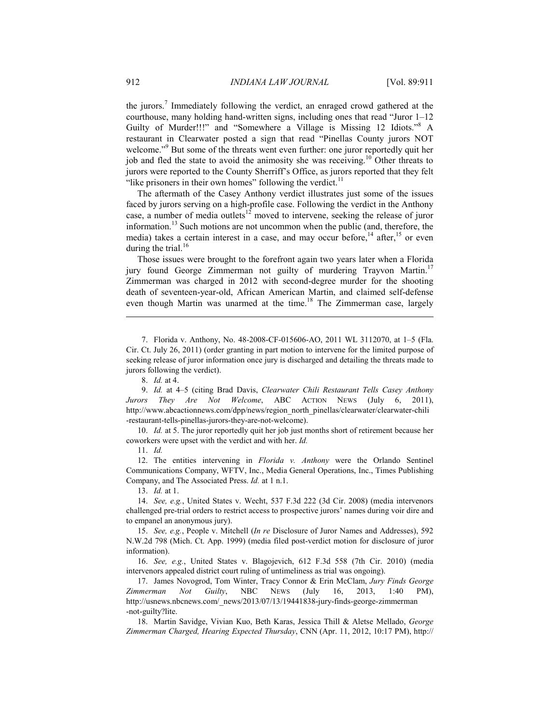the jurors.<sup>7</sup> Immediately following the verdict, an enraged crowd gathered at the courthouse, many holding hand-written signs, including ones that read "Juror 1–12 Guilty of Murder!!!" and "Somewhere a Village is Missing 12 Idiots."<sup>8</sup> A restaurant in Clearwater posted a sign that read "Pinellas County jurors NOT welcome."<sup>9</sup> But some of the threats went even further: one juror reportedly quit her job and fled the state to avoid the animosity she was receiving.<sup>10</sup> Other threats to jurors were reported to the County Sherriff's Office, as jurors reported that they felt "like prisoners in their own homes" following the verdict. $<sup>11</sup>$ </sup>

The aftermath of the Casey Anthony verdict illustrates just some of the issues faced by jurors serving on a high-profile case. Following the verdict in the Anthony case, a number of media outlets<sup>12</sup> moved to intervene, seeking the release of juror information.13 Such motions are not uncommon when the public (and, therefore, the media) takes a certain interest in a case, and may occur before, $14$  after,  $15$  or even during the trial. $16$ 

Those issues were brought to the forefront again two years later when a Florida jury found George Zimmerman not guilty of murdering Trayvon Martin.<sup>17</sup> Zimmerman was charged in 2012 with second-degree murder for the shooting death of seventeen-year-old, African American Martin, and claimed self-defense even though Martin was unarmed at the time.<sup>18</sup> The Zimmerman case, largely

1

 9. *Id.* at 4–5 (citing Brad Davis, *Clearwater Chili Restaurant Tells Casey Anthony Jurors They Are Not Welcome*, ABC ACTION NEWS (July 6, 2011), [http://www.abcactionnews.com/dpp/news/region\\_north\\_pinellas/clearwater/clearwater-chili](http://www.abcactionnews.com/news/region-north-pinellas/clearwater/clearwater-chili-restaurant-tells-pinellas-jurors-they-are-not-welcome) -restaurant-tells-pinellas-jurors-they-are-not-welcome).

 10. *Id.* at 5. The juror reportedly quit her job just months short of retirement because her coworkers were upset with the verdict and with her. *Id.*

11. *Id.*

 12. The entities intervening in *Florida v. Anthony* were the Orlando Sentinel Communications Company, WFTV, Inc., Media General Operations, Inc., Times Publishing Company, and The Associated Press. *Id.* at 1 n.1.

13. *Id.* at 1.

 14. *See, e.g.*, United States v. Wecht, 537 F.3d 222 (3d Cir. 2008) (media intervenors challenged pre-trial orders to restrict access to prospective jurors' names during voir dire and to empanel an anonymous jury).

 15. *See, e.g.*, People v. Mitchell (*In re* Disclosure of Juror Names and Addresses), 592 N.W.2d 798 (Mich. Ct. App. 1999) (media filed post-verdict motion for disclosure of juror information).

 16. *See, e.g.*, United States v. Blagojevich, 612 F.3d 558 (7th Cir. 2010) (media intervenors appealed district court ruling of untimeliness as trial was ongoing).

 17. James Novogrod, Tom Winter, Tracy Connor & Erin McClam, *Jury Finds George Zimmerman Not Guilty*, NBC NEWS (July 16, 2013, 1:40 PM), [http://usnews.nbcnews.com/\\_news/2013/07/13/19441838-jury-finds-george-zimmerman](http://www.nbcnews.com/news/us-news/jury-finds-george-zimmerman-not-guilty-v19441838) -not-guilty?lite.

 18. Martin Savidge, Vivian Kuo, Beth Karas, Jessica Thill & Aletse Mellado, *George Zimmerman Charged, Hearing Expected Thursday*, CNN (Apr. 11, 2012, 10:17 PM), http://

 <sup>7.</sup> Florida v. Anthony, No. 48-2008-CF-015606-AO, 2011 WL 3112070, at 1–5 (Fla. Cir. Ct. July 26, 2011) (order granting in part motion to intervene for the limited purpose of seeking release of juror information once jury is discharged and detailing the threats made to jurors following the verdict).

 <sup>8.</sup> *Id.* at 4.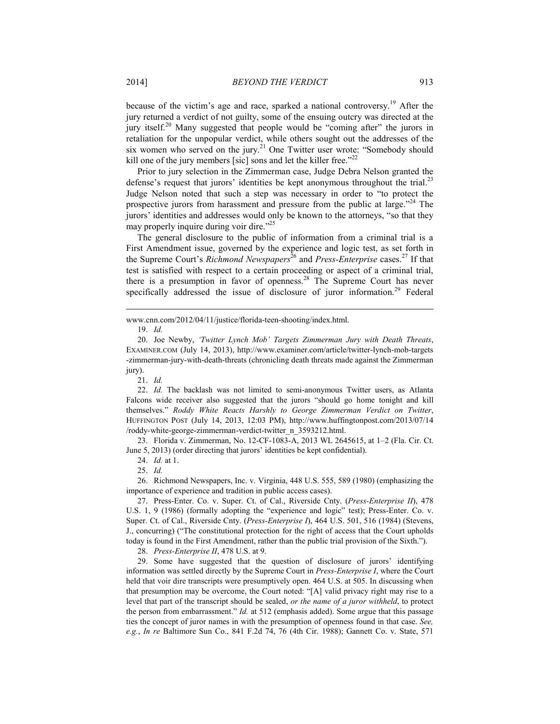because of the victim's age and race, sparked a national controversy.<sup>19</sup> After the jury returned a verdict of not guilty, some of the ensuing outcry was directed at the jury itself.<sup>20</sup> Many suggested that people would be "coming after" the jurors in retaliation for the unpopular verdict, while others sought out the addresses of the six women who served on the jury.<sup>21</sup> One Twitter user wrote: "Somebody should kill one of the jury members [sic] sons and let the killer free."<sup>22</sup>

Prior to jury selection in the Zimmerman case, Judge Debra Nelson granted the defense's request that jurors' identities be kept anonymous throughout the trial.<sup>23</sup> Judge Nelson noted that such a step was necessary in order to "to protect the prospective jurors from harassment and pressure from the public at large.<sup> $24$ </sup> The jurors' identities and addresses would only be known to the attorneys, "so that they may properly inquire during voir dire."<sup>25</sup>

The general disclosure to the public of information from a criminal trial is a First Amendment issue, governed by the experience and logic test, as set forth in the Supreme Court's *Richmond Newspapers*<sup>26</sup> and *Press-Enterprise* cases.<sup>27</sup> If that test is satisfied with respect to a certain proceeding or aspect of a criminal trial, there is a presumption in favor of openness. $28$  The Supreme Court has never specifically addressed the issue of disclosure of juror information.<sup>29</sup> Federal

1

21. *Id.*

 22. *Id.* The backlash was not limited to semi-anonymous Twitter users, as Atlanta Falcons wide receiver also suggested that the jurors "should go home tonight and kill themselves." *Roddy White Reacts Harshly to George Zimmerman Verdict on Twitter*, [HUFFINGTON POST \(July 14, 2013, 12:03 PM\), http://www.huffingtonpost.com/2013/07/14](http://www.huffingtonpost.com/2013/07/14/roddy-white-george-zimmerman-verdict-twitter_n_3593212.html) /roddy-white-george-zimmerman-verdict-twitter\_n\_3593212.html.

 23. Florida v. Zimmerman, No. 12-CF-1083-A, 2013 WL 2645615, at 1–2 (Fla. Cir. Ct. June 5, 2013) (order directing that jurors' identities be kept confidential).

24. *Id.* at 1.

25. *Id.*

 26. Richmond Newspapers, Inc. v. Virginia, 448 U.S. 555, 589 (1980) (emphasizing the importance of experience and tradition in public access cases).

 27. Press-Enter. Co. v. Super. Ct. of Cal., Riverside Cnty. (*Press-Enterprise II*), 478 U.S. 1, 9 (1986) (formally adopting the "experience and logic" test); Press-Enter. Co. v. Super. Ct. of Cal., Riverside Cnty. (*Press-Enterprise I*), 464 U.S. 501, 516 (1984) (Stevens, J., concurring) ("The constitutional protection for the right of access that the Court upholds today is found in the First Amendment, rather than the public trial provision of the Sixth.").

28. *Press-Enterprise II*, 478 U.S. at 9.

 29. Some have suggested that the question of disclosure of jurors' identifying information was settled directly by the Supreme Court in *Press-Enterprise I*, where the Court held that voir dire transcripts were presumptively open. 464 U.S. at 505. In discussing when that presumption may be overcome, the Court noted: "[A] valid privacy right may rise to a level that part of the transcript should be sealed, *or the name of a juror withheld*, to protect the person from embarrassment." *Id.* at 512 (emphasis added). Some argue that this passage ties the concept of juror names in with the presumption of openness found in that case. *See, e.g.*, *In re* Baltimore Sun Co., 841 F.2d 74, 76 (4th Cir. 1988); Gannett Co. v. State, 571

[www.cnn.com/2012/04/11/justice/florida-teen-shooting/index.html.](http://www.cnn.com/2012/04/11/justice/florida-teen-shooting/index.html)

 <sup>19.</sup> *Id.*

 <sup>20.</sup> Joe Newby, *'Twitter Lynch Mob' Targets Zimmerman Jury with Death Threats*, EXAMINER.COM (July 14, 2013), http://www.examiner.com/article/twitter-lynch-mob-targets [-zimmerman-jury-with-death-threats \(chronicling death threats made against the Zimmerman](http://www.examiner.com/article/twitter-lynch-mob-targets-zimmerman-jury-with-death-threats) jury).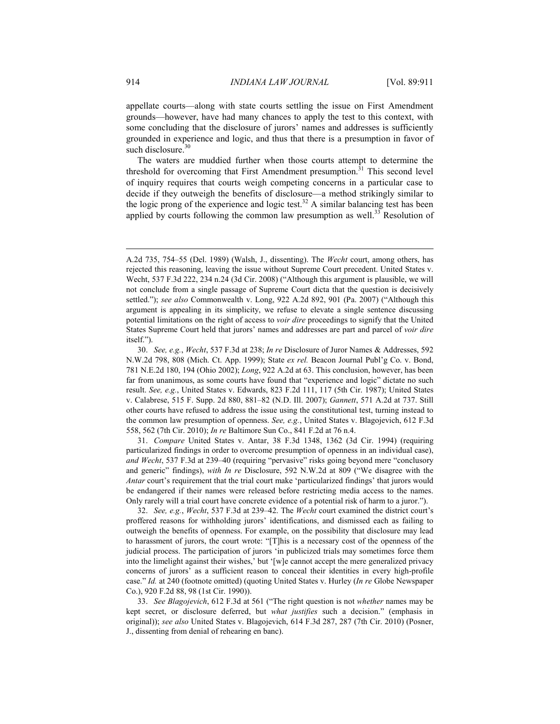appellate courts—along with state courts settling the issue on First Amendment grounds—however, have had many chances to apply the test to this context, with some concluding that the disclosure of jurors' names and addresses is sufficiently grounded in experience and logic, and thus that there is a presumption in favor of such disclosure. $30$ 

The waters are muddied further when those courts attempt to determine the threshold for overcoming that First Amendment presumption.<sup>31</sup> This second level of inquiry requires that courts weigh competing concerns in a particular case to decide if they outweigh the benefits of disclosure—a method strikingly similar to the logic prong of the experience and logic test.<sup>32</sup> A similar balancing test has been applied by courts following the common law presumption as well.<sup>33</sup> Resolution of

 31. *Compare* United States v. Antar, 38 F.3d 1348, 1362 (3d Cir. 1994) (requiring particularized findings in order to overcome presumption of openness in an individual case), *and Wecht*, 537 F.3d at 239–40 (requiring "pervasive" risks going beyond mere "conclusory and generic" findings), *with In re* Disclosure, 592 N.W.2d at 809 ("We disagree with the *Antar* court's requirement that the trial court make 'particularized findings' that jurors would be endangered if their names were released before restricting media access to the names. Only rarely will a trial court have concrete evidence of a potential risk of harm to a juror.").

 32. *See, e.g.*, *Wecht*, 537 F.3d at 239–42. The *Wecht* court examined the district court's proffered reasons for withholding jurors' identifications, and dismissed each as failing to outweigh the benefits of openness. For example, on the possibility that disclosure may lead to harassment of jurors, the court wrote: "[T]his is a necessary cost of the openness of the judicial process. The participation of jurors 'in publicized trials may sometimes force them into the limelight against their wishes,' but '[w]e cannot accept the mere generalized privacy concerns of jurors' as a sufficient reason to conceal their identities in every high-profile case." *Id.* at 240 (footnote omitted) (quoting United States v. Hurley (*In re* Globe Newspaper Co.), 920 F.2d 88, 98 (1st Cir. 1990)).

 33. *See Blagojevich*, 612 F.3d at 561 ("The right question is not *whether* names may be kept secret, or disclosure deferred, but *what justifies* such a decision." (emphasis in original)); *see also* United States v. Blagojevich, 614 F.3d 287, 287 (7th Cir. 2010) (Posner, J., dissenting from denial of rehearing en banc).

A.2d 735, 754–55 (Del. 1989) (Walsh, J., dissenting). The *Wecht* court, among others, has rejected this reasoning, leaving the issue without Supreme Court precedent. United States v. Wecht, 537 F.3d 222, 234 n.24 (3d Cir. 2008) ("Although this argument is plausible, we will not conclude from a single passage of Supreme Court dicta that the question is decisively settled."); *see also* Commonwealth v. Long, 922 A.2d 892, 901 (Pa. 2007) ("Although this argument is appealing in its simplicity, we refuse to elevate a single sentence discussing potential limitations on the right of access to *voir dire* proceedings to signify that the United States Supreme Court held that jurors' names and addresses are part and parcel of *voir dire* itself.").

 <sup>30.</sup> *See, e.g.*, *Wecht*, 537 F.3d at 238; *In re* Disclosure of Juror Names & Addresses, 592 N.W.2d 798, 808 (Mich. Ct. App. 1999); State *ex rel.* Beacon Journal Publ'g Co. v. Bond, 781 N.E.2d 180, 194 (Ohio 2002); *Long*, 922 A.2d at 63. This conclusion, however, has been far from unanimous, as some courts have found that "experience and logic" dictate no such result. *See, e.g.*, United States v. Edwards, 823 F.2d 111, 117 (5th Cir. 1987); United States v. Calabrese, 515 F. Supp. 2d 880, 881–82 (N.D. Ill. 2007); *Gannett*, 571 A.2d at 737. Still other courts have refused to address the issue using the constitutional test, turning instead to the common law presumption of openness. *See, e.g.*, United States v. Blagojevich, 612 F.3d 558, 562 (7th Cir. 2010); *In re* Baltimore Sun Co., 841 F.2d at 76 n.4.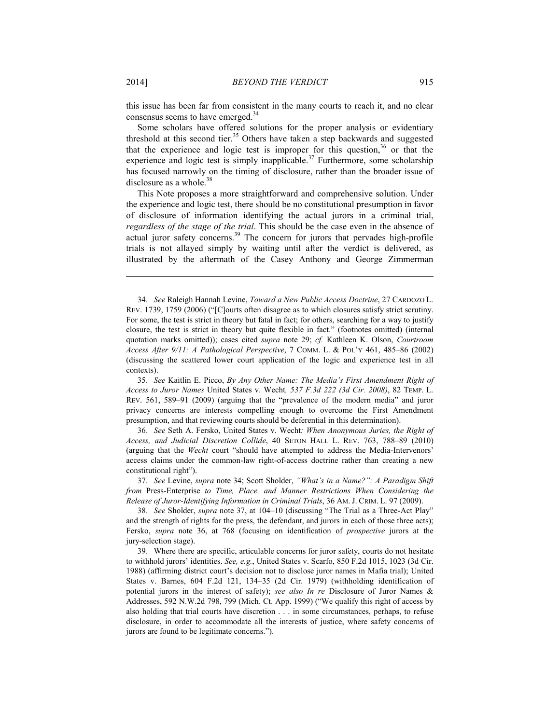<u>.</u>

this issue has been far from consistent in the many courts to reach it, and no clear consensus seems to have emerged.<sup>34</sup>

Some scholars have offered solutions for the proper analysis or evidentiary threshold at this second tier.<sup>35</sup> Others have taken a step backwards and suggested that the experience and logic test is improper for this question,  $36$  or that the experience and logic test is simply inapplicable.<sup>37</sup> Furthermore, some scholarship has focused narrowly on the timing of disclosure, rather than the broader issue of disclosure as a whole.<sup>38</sup>

This Note proposes a more straightforward and comprehensive solution. Under the experience and logic test, there should be no constitutional presumption in favor of disclosure of information identifying the actual jurors in a criminal trial, *regardless of the stage of the trial*. This should be the case even in the absence of actual juror safety concerns.<sup>39</sup> The concern for jurors that pervades high-profile trials is not allayed simply by waiting until after the verdict is delivered, as illustrated by the aftermath of the Casey Anthony and George Zimmerman

 35. *See* Kaitlin E. Picco, *By Any Other Name: The Media's First Amendment Right of Access to Juror Names* United States v. Wecht*, 537 F.3d 222 (3d Cir. 2008)*, 82 TEMP. L. REV. 561, 589–91 (2009) (arguing that the "prevalence of the modern media" and juror privacy concerns are interests compelling enough to overcome the First Amendment presumption, and that reviewing courts should be deferential in this determination).

 36. *See* Seth A. Fersko, United States v. Wecht*: When Anonymous Juries, the Right of Access, and Judicial Discretion Collide*, 40 SETON HALL L. REV. 763, 788–89 (2010) (arguing that the *Wecht* court "should have attempted to address the Media-Intervenors' access claims under the common-law right-of-access doctrine rather than creating a new constitutional right").

 37. *See* Levine, *supra* note 34; Scott Sholder, *"What's in a Name?": A Paradigm Shift from* Press-Enterprise *to Time, Place, and Manner Restrictions When Considering the Release of Juror-Identifying Information in Criminal Trials*, 36 AM. J. CRIM. L. 97 (2009).

 38. *See* Sholder, *supra* note 37, at 104–10 (discussing "The Trial as a Three-Act Play" and the strength of rights for the press, the defendant, and jurors in each of those three acts); Fersko, *supra* note 36, at 768 (focusing on identification of *prospective* jurors at the jury-selection stage).

 39. Where there are specific, articulable concerns for juror safety, courts do not hesitate to withhold jurors' identities. *See, e.g.*, United States v. Scarfo, 850 F.2d 1015, 1023 (3d Cir. 1988) (affirming district court's decision not to disclose juror names in Mafia trial); United States v. Barnes, 604 F.2d 121, 134–35 (2d Cir. 1979) (withholding identification of potential jurors in the interest of safety); *see also In re* Disclosure of Juror Names & Addresses, 592 N.W.2d 798, 799 (Mich. Ct. App. 1999) ("We qualify this right of access by also holding that trial courts have discretion . . . in some circumstances, perhaps, to refuse disclosure, in order to accommodate all the interests of justice, where safety concerns of jurors are found to be legitimate concerns.").

 <sup>34.</sup> *See* Raleigh Hannah Levine, *Toward a New Public Access Doctrine*, 27 CARDOZO L. REV. 1739, 1759 (2006) ("[C]ourts often disagree as to which closures satisfy strict scrutiny. For some, the test is strict in theory but fatal in fact; for others, searching for a way to justify closure, the test is strict in theory but quite flexible in fact." (footnotes omitted) (internal quotation marks omitted)); cases cited *supra* note 29; *cf.* Kathleen K. Olson, *Courtroom Access After 9/11: A Pathological Perspective*, 7 COMM. L. & POL'Y 461, 485–86 (2002) (discussing the scattered lower court application of the logic and experience test in all contexts).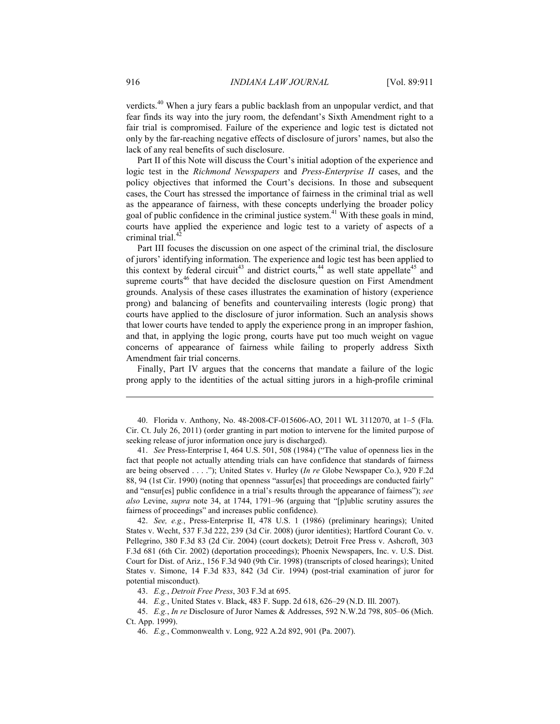verdicts.40 When a jury fears a public backlash from an unpopular verdict, and that fear finds its way into the jury room, the defendant's Sixth Amendment right to a fair trial is compromised. Failure of the experience and logic test is dictated not only by the far-reaching negative effects of disclosure of jurors' names, but also the lack of any real benefits of such disclosure.

Part II of this Note will discuss the Court's initial adoption of the experience and logic test in the *Richmond Newspapers* and *Press-Enterprise II* cases, and the policy objectives that informed the Court's decisions. In those and subsequent cases, the Court has stressed the importance of fairness in the criminal trial as well as the appearance of fairness, with these concepts underlying the broader policy goal of public confidence in the criminal justice system.<sup>41</sup> With these goals in mind, courts have applied the experience and logic test to a variety of aspects of a criminal trial.<sup>42</sup>

Part III focuses the discussion on one aspect of the criminal trial, the disclosure of jurors' identifying information. The experience and logic test has been applied to this context by federal circuit<sup>43</sup> and district courts,<sup>44</sup> as well state appellate<sup>45</sup> and supreme courts<sup>46</sup> that have decided the disclosure question on First Amendment grounds. Analysis of these cases illustrates the examination of history (experience prong) and balancing of benefits and countervailing interests (logic prong) that courts have applied to the disclosure of juror information. Such an analysis shows that lower courts have tended to apply the experience prong in an improper fashion, and that, in applying the logic prong, courts have put too much weight on vague concerns of appearance of fairness while failing to properly address Sixth Amendment fair trial concerns.

Finally, Part IV argues that the concerns that mandate a failure of the logic prong apply to the identities of the actual sitting jurors in a high-profile criminal

 41. *See* Press-Enterprise I, 464 U.S. 501, 508 (1984) ("The value of openness lies in the fact that people not actually attending trials can have confidence that standards of fairness are being observed . . . ."); United States v. Hurley (*In re* Globe Newspaper Co.), 920 F.2d 88, 94 (1st Cir. 1990) (noting that openness "assur[es] that proceedings are conducted fairly" and "ensur[es] public confidence in a trial's results through the appearance of fairness"); *see also* Levine, *supra* note 34, at 1744, 1791–96 (arguing that "[p]ublic scrutiny assures the fairness of proceedings" and increases public confidence).

 42. *See, e.g.*, Press-Enterprise II, 478 U.S. 1 (1986) (preliminary hearings); United States v. Wecht, 537 F.3d 222, 239 (3d Cir. 2008) (juror identities); Hartford Courant Co. v. Pellegrino, 380 F.3d 83 (2d Cir. 2004) (court dockets); Detroit Free Press v. Ashcroft, 303 F.3d 681 (6th Cir. 2002) (deportation proceedings); Phoenix Newspapers, Inc. v. U.S. Dist. Court for Dist. of Ariz., 156 F.3d 940 (9th Cir. 1998) (transcripts of closed hearings); United States v. Simone, 14 F.3d 833, 842 (3d Cir. 1994) (post-trial examination of juror for potential misconduct).

43. *E.g.*, *Detroit Free Press*, 303 F.3d at 695.

44. *E.g.*, United States v. Black, 483 F. Supp. 2d 618, 626–29 (N.D. Ill. 2007).

 45. *E.g.*, *In re* Disclosure of Juror Names & Addresses, 592 N.W.2d 798, 805–06 (Mich. Ct. App. 1999).

46. *E.g.*, Commonwealth v. Long, 922 A.2d 892, 901 (Pa. 2007).

<u>.</u>

 <sup>40.</sup> Florida v. Anthony, No. 48-2008-CF-015606-AO, 2011 WL 3112070, at 1–5 (Fla. Cir. Ct. July 26, 2011) (order granting in part motion to intervene for the limited purpose of seeking release of juror information once jury is discharged).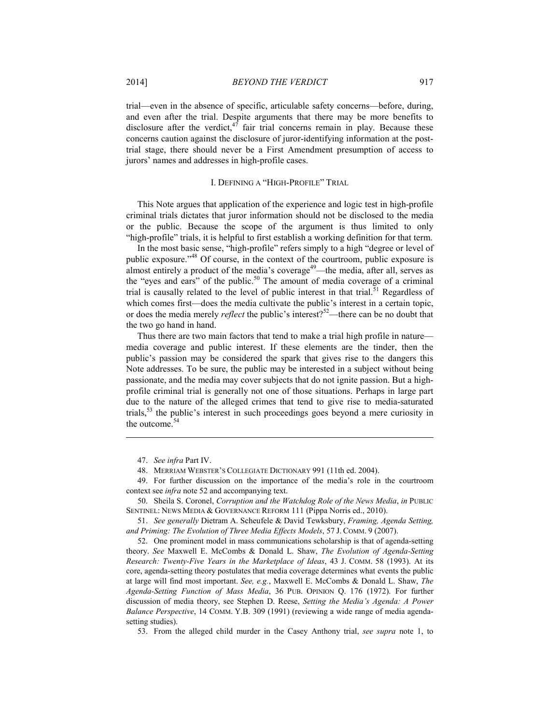trial—even in the absence of specific, articulable safety concerns—before, during, and even after the trial. Despite arguments that there may be more benefits to disclosure after the verdict, $47$  fair trial concerns remain in play. Because these concerns caution against the disclosure of juror-identifying information at the posttrial stage, there should never be a First Amendment presumption of access to jurors' names and addresses in high-profile cases.

#### I. DEFINING A "HIGH-PROFILE" TRIAL

This Note argues that application of the experience and logic test in high-profile criminal trials dictates that juror information should not be disclosed to the media or the public. Because the scope of the argument is thus limited to only "high-profile" trials, it is helpful to first establish a working definition for that term.

In the most basic sense, "high-profile" refers simply to a high "degree or level of public exposure."48 Of course, in the context of the courtroom, public exposure is almost entirely a product of the media's coverage<sup>49</sup>—the media, after all, serves as the "eyes and ears" of the public. $50$  The amount of media coverage of a criminal trial is causally related to the level of public interest in that trial.<sup>51</sup> Regardless of which comes first—does the media cultivate the public's interest in a certain topic, or does the media merely *reflect* the public's interest?52—there can be no doubt that the two go hand in hand.

Thus there are two main factors that tend to make a trial high profile in nature media coverage and public interest. If these elements are the tinder, then the public's passion may be considered the spark that gives rise to the dangers this Note addresses. To be sure, the public may be interested in a subject without being passionate, and the media may cover subjects that do not ignite passion. But a highprofile criminal trial is generally not one of those situations. Perhaps in large part due to the nature of the alleged crimes that tend to give rise to media-saturated trials,53 the public's interest in such proceedings goes beyond a mere curiosity in the outcome.<sup>54</sup>

1

53. From the alleged child murder in the Casey Anthony trial, *see supra* note 1, to

 <sup>47.</sup> *See infra* Part IV.

 <sup>48.</sup> MERRIAM WEBSTER'S COLLEGIATE DICTIONARY 991 (11th ed. 2004).

 <sup>49.</sup> For further discussion on the importance of the media's role in the courtroom context see *infra* note 52 and accompanying text.

 <sup>50.</sup> Sheila S. Coronel, *Corruption and the Watchdog Role of the News Media*, *in* PUBLIC SENTINEL: NEWS MEDIA & GOVERNANCE REFORM 111 (Pippa Norris ed., 2010).

 <sup>51.</sup> *See generally* Dietram A. Scheufele & David Tewksbury, *Framing, Agenda Setting, and Priming: The Evolution of Three Media Effects Models*, 57 J. COMM. 9 (2007).

 <sup>52.</sup> One prominent model in mass communications scholarship is that of agenda-setting theory. *See* Maxwell E. McCombs & Donald L. Shaw, *The Evolution of Agenda-Setting Research: Twenty-Five Years in the Marketplace of Ideas*, 43 J. COMM. 58 (1993). At its core, agenda-setting theory postulates that media coverage determines what events the public at large will find most important. *See, e.g.*, Maxwell E. McCombs & Donald L. Shaw, *The Agenda-Setting Function of Mass Media*, 36 PUB. OPINION Q. 176 (1972). For further discussion of media theory, see Stephen D. Reese, *Setting the Media's Agenda: A Power Balance Perspective*, 14 COMM. Y.B. 309 (1991) (reviewing a wide range of media agendasetting studies).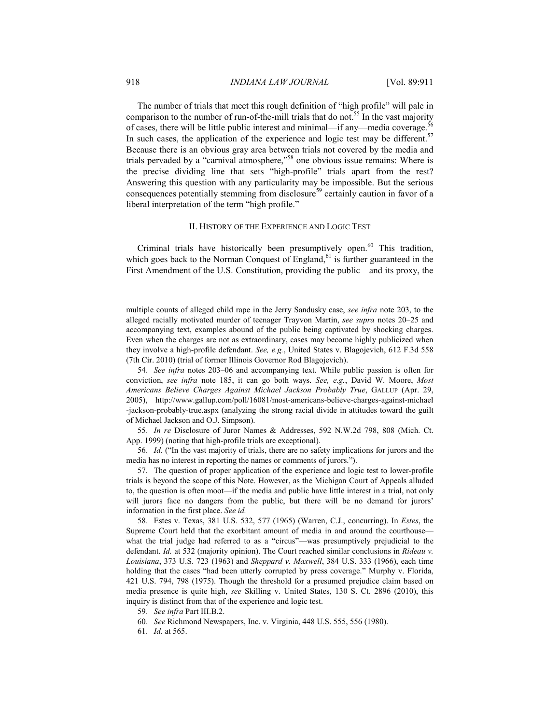The number of trials that meet this rough definition of "high profile" will pale in comparison to the number of run-of-the-mill trials that do not.<sup>55</sup> In the vast majority of cases, there will be little public interest and minimal—if any—media coverage.<sup>56</sup> In such cases, the application of the experience and logic test may be different.<sup>57</sup> Because there is an obvious gray area between trials not covered by the media and trials pervaded by a "carnival atmosphere,"<sup>58</sup> one obvious issue remains: Where is the precise dividing line that sets "high-profile" trials apart from the rest? Answering this question with any particularity may be impossible. But the serious consequences potentially stemming from disclosure<sup>59</sup> certainly caution in favor of a liberal interpretation of the term "high profile."

### II. HISTORY OF THE EXPERIENCE AND LOGIC TEST

Criminal trials have historically been presumptively open.<sup>60</sup> This tradition, which goes back to the Norman Conquest of England,  $61$  is further guaranteed in the First Amendment of the U.S. Constitution, providing the public—and its proxy, the

 55. *In re* Disclosure of Juror Names & Addresses, 592 N.W.2d 798, 808 (Mich. Ct. App. 1999) (noting that high-profile trials are exceptional).

61. *Id.* at 565.

multiple counts of alleged child rape in the Jerry Sandusky case, *see infra* note 203, to the alleged racially motivated murder of teenager Trayvon Martin, *see supra* notes 20–25 and accompanying text, examples abound of the public being captivated by shocking charges. Even when the charges are not as extraordinary, cases may become highly publicized when they involve a high-profile defendant. *See, e.g.*, United States v. Blagojevich, 612 F.3d 558 (7th Cir. 2010) (trial of former Illinois Governor Rod Blagojevich).

 <sup>54.</sup> *See infra* notes 203–06 and accompanying text. While public passion is often for conviction, *see infra* note 185, it can go both ways. *See, e.g.*, David W. Moore, *Most Americans Believe Charges Against Michael Jackson Probably True*, GALLUP (Apr. 29, 2005), http://www.gallup.com/poll/16081/most-americans-believe-charges-against-michael [-jackson-probably-true.aspx \(analyzing the strong racial divide in attitudes toward the guilt](http://www.gallup.com/poll/16081/most-americans-believe-charges-against-michael-jackson-probably-true.aspx) of Michael Jackson and O.J. Simpson).

 <sup>56.</sup> *Id.* ("In the vast majority of trials, there are no safety implications for jurors and the media has no interest in reporting the names or comments of jurors.").

 <sup>57.</sup> The question of proper application of the experience and logic test to lower-profile trials is beyond the scope of this Note. However, as the Michigan Court of Appeals alluded to, the question is often moot—if the media and public have little interest in a trial, not only will jurors face no dangers from the public, but there will be no demand for jurors' information in the first place. *See id.*

 <sup>58.</sup> Estes v. Texas, 381 U.S. 532, 577 (1965) (Warren, C.J., concurring). In *Estes*, the Supreme Court held that the exorbitant amount of media in and around the courthouse what the trial judge had referred to as a "circus"—was presumptively prejudicial to the defendant. *Id.* at 532 (majority opinion). The Court reached similar conclusions in *Rideau v. Louisiana*, 373 U.S. 723 (1963) and *Sheppard v. Maxwell*, 384 U.S. 333 (1966), each time holding that the cases "had been utterly corrupted by press coverage." Murphy v. Florida, 421 U.S. 794, 798 (1975). Though the threshold for a presumed prejudice claim based on media presence is quite high, *see* Skilling v. United States, 130 S. Ct. 2896 (2010), this inquiry is distinct from that of the experience and logic test.

 <sup>59.</sup> *See infra* Part III.B.2.

 <sup>60.</sup> *See* Richmond Newspapers, Inc. v. Virginia, 448 U.S. 555, 556 (1980).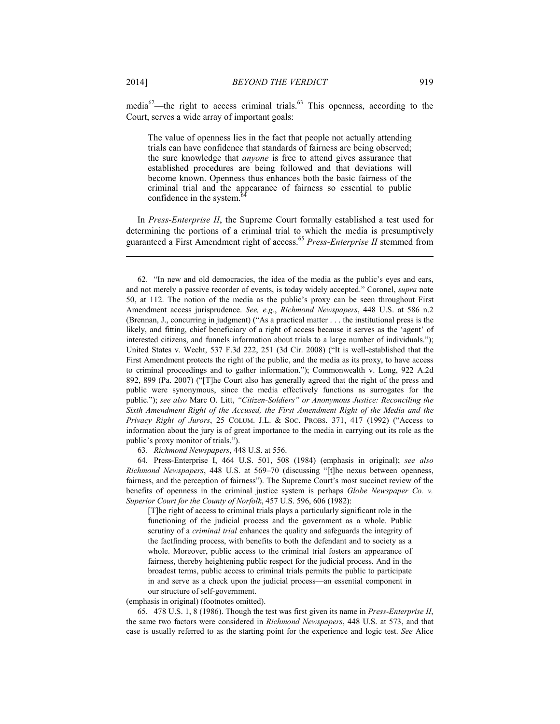media $62$ —the right to access criminal trials.<sup>63</sup> This openness, according to the Court, serves a wide array of important goals:

The value of openness lies in the fact that people not actually attending trials can have confidence that standards of fairness are being observed; the sure knowledge that *anyone* is free to attend gives assurance that established procedures are being followed and that deviations will become known. Openness thus enhances both the basic fairness of the criminal trial and the appearance of fairness so essential to public confidence in the system.

In *Press-Enterprise II*, the Supreme Court formally established a test used for determining the portions of a criminal trial to which the media is presumptively guaranteed a First Amendment right of access.<sup>65</sup> *Press-Enterprise II* stemmed from

63. *Richmond Newspapers*, 448 U.S. at 556.

 64. Press-Enterprise I, 464 U.S. 501, 508 (1984) (emphasis in original); *see also Richmond Newspapers*, 448 U.S. at 569–70 (discussing "[t]he nexus between openness, fairness, and the perception of fairness"). The Supreme Court's most succinct review of the benefits of openness in the criminal justice system is perhaps *Globe Newspaper Co. v. Superior Court for the County of Norfolk*, 457 U.S. 596, 606 (1982):

[T]he right of access to criminal trials plays a particularly significant role in the functioning of the judicial process and the government as a whole. Public scrutiny of a *criminal trial* enhances the quality and safeguards the integrity of the factfinding process, with benefits to both the defendant and to society as a whole. Moreover, public access to the criminal trial fosters an appearance of fairness, thereby heightening public respect for the judicial process. And in the broadest terms, public access to criminal trials permits the public to participate in and serve as a check upon the judicial process—an essential component in our structure of self-government.

(emphasis in original) (footnotes omitted).

 65. 478 U.S. 1, 8 (1986). Though the test was first given its name in *Press-Enterprise II*, the same two factors were considered in *Richmond Newspapers*, 448 U.S. at 573, and that case is usually referred to as the starting point for the experience and logic test. *See* Alice

 <sup>62. &</sup>quot;In new and old democracies, the idea of the media as the public's eyes and ears, and not merely a passive recorder of events, is today widely accepted." Coronel, *supra* note 50, at 112. The notion of the media as the public's proxy can be seen throughout First Amendment access jurisprudence. *See, e.g.*, *Richmond Newspapers*, 448 U.S. at 586 n.2 (Brennan, J., concurring in judgment) ("As a practical matter . . . the institutional press is the likely, and fitting, chief beneficiary of a right of access because it serves as the 'agent' of interested citizens, and funnels information about trials to a large number of individuals."); United States v. Wecht, 537 F.3d 222, 251 (3d Cir. 2008) ("It is well-established that the First Amendment protects the right of the public, and the media as its proxy, to have access to criminal proceedings and to gather information."); Commonwealth v. Long, 922 A.2d 892, 899 (Pa. 2007) ("[T]he Court also has generally agreed that the right of the press and public were synonymous, since the media effectively functions as surrogates for the public."); *see also* Marc O. Litt, *"Citizen-Soldiers" or Anonymous Justice: Reconciling the Sixth Amendment Right of the Accused, the First Amendment Right of the Media and the Privacy Right of Jurors*, 25 COLUM. J.L. & SOC. PROBS. 371, 417 (1992) ("Access to information about the jury is of great importance to the media in carrying out its role as the public's proxy monitor of trials.").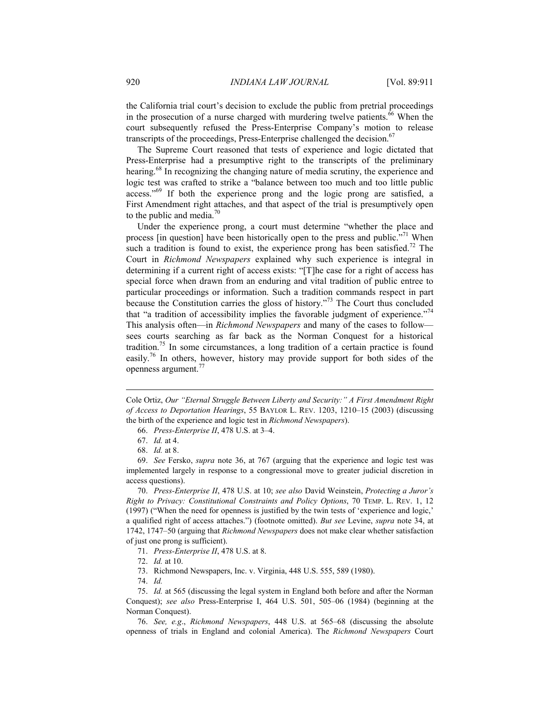the California trial court's decision to exclude the public from pretrial proceedings in the prosecution of a nurse charged with murdering twelve patients.<sup>66</sup> When the court subsequently refused the Press-Enterprise Company's motion to release transcripts of the proceedings, Press-Enterprise challenged the decision.<sup>67</sup>

The Supreme Court reasoned that tests of experience and logic dictated that Press-Enterprise had a presumptive right to the transcripts of the preliminary hearing.<sup>68</sup> In recognizing the changing nature of media scrutiny, the experience and logic test was crafted to strike a "balance between too much and too little public access."69 If both the experience prong and the logic prong are satisfied, a First Amendment right attaches, and that aspect of the trial is presumptively open to the public and media. $70$ 

Under the experience prong, a court must determine "whether the place and process [in question] have been historically open to the press and public."71 When such a tradition is found to exist, the experience prong has been satisfied.<sup>72</sup> The Court in *Richmond Newspapers* explained why such experience is integral in determining if a current right of access exists: "[T]he case for a right of access has special force when drawn from an enduring and vital tradition of public entree to particular proceedings or information. Such a tradition commands respect in part because the Constitution carries the gloss of history."73 The Court thus concluded that "a tradition of accessibility implies the favorable judgment of experience."<sup>74</sup> This analysis often—in *Richmond Newspapers* and many of the cases to follow sees courts searching as far back as the Norman Conquest for a historical tradition.75 In some circumstances, a long tradition of a certain practice is found easily.76 In others, however, history may provide support for both sides of the openness argument.<sup>77</sup>

Cole Ortiz, *Our "Eternal Struggle Between Liberty and Security:" A First Amendment Right of Access to Deportation Hearings*, 55 BAYLOR L. REV. 1203, 1210–15 (2003) (discussing the birth of the experience and logic test in *Richmond Newspapers*).

1

 69. *See* Fersko, *supra* note 36, at 767 (arguing that the experience and logic test was implemented largely in response to a congressional move to greater judicial discretion in access questions).

 70. *Press-Enterprise II*, 478 U.S. at 10; *see also* David Weinstein, *Protecting a Juror's Right to Privacy: Constitutional Constraints and Policy Options*, 70 TEMP. L. REV. 1, 12 (1997) ("When the need for openness is justified by the twin tests of 'experience and logic,' a qualified right of access attaches.") (footnote omitted). *But see* Levine, *supra* note 34, at 1742, 1747–50 (arguing that *Richmond Newspapers* does not make clear whether satisfaction of just one prong is sufficient).

71. *Press-Enterprise II*, 478 U.S. at 8.

- 73. Richmond Newspapers, Inc. v. Virginia, 448 U.S. 555, 589 (1980).
- 74. *Id.*

 76. *See, e.g*., *Richmond Newspapers*, 448 U.S. at 565–68 (discussing the absolute openness of trials in England and colonial America). The *Richmond Newspapers* Court

 <sup>66.</sup> *Press-Enterprise II*, 478 U.S. at 3–4.

 <sup>67.</sup> *Id.* at 4.

 <sup>68.</sup> *Id.* at 8.

 <sup>72.</sup> *Id.* at 10.

 <sup>75.</sup> *Id.* at 565 (discussing the legal system in England both before and after the Norman Conquest); *see also* Press-Enterprise I, 464 U.S. 501, 505–06 (1984) (beginning at the Norman Conquest).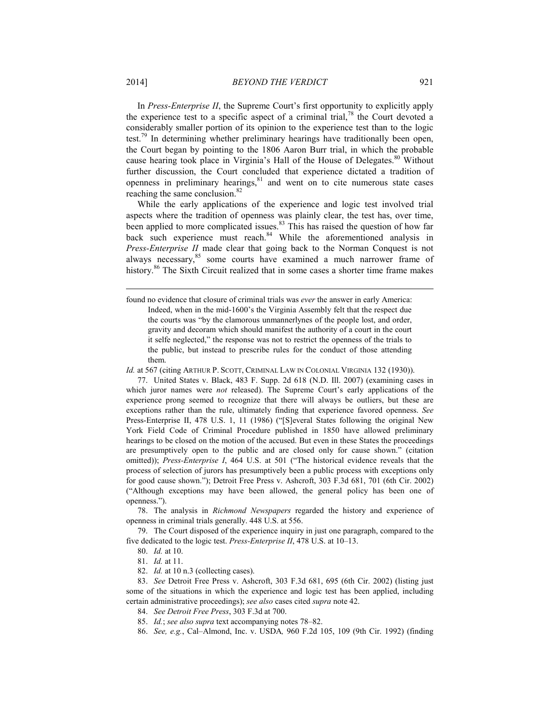In *Press-Enterprise II*, the Supreme Court's first opportunity to explicitly apply the experience test to a specific aspect of a criminal trial,<sup>78</sup> the Court devoted a considerably smaller portion of its opinion to the experience test than to the logic test.<sup>79</sup> In determining whether preliminary hearings have traditionally been open, the Court began by pointing to the 1806 Aaron Burr trial, in which the probable cause hearing took place in Virginia's Hall of the House of Delegates.<sup>80</sup> Without further discussion, the Court concluded that experience dictated a tradition of openness in preliminary hearings, $81$  and went on to cite numerous state cases reaching the same conclusion.<sup>82</sup>

While the early applications of the experience and logic test involved trial aspects where the tradition of openness was plainly clear, the test has, over time, been applied to more complicated issues.<sup>83</sup> This has raised the question of how far back such experience must reach.<sup>84</sup> While the aforementioned analysis in *Press-Enterprise II* made clear that going back to the Norman Conquest is not always necessary,<sup>85</sup> some courts have examined a much narrower frame of history.<sup>86</sup> The Sixth Circuit realized that in some cases a shorter time frame makes

Id. at 567 (citing ARTHUR P. SCOTT, CRIMINAL LAW IN COLONIAL VIRGINIA 132 (1930)).

 77. United States v. Black, 483 F. Supp. 2d 618 (N.D. Ill. 2007) (examining cases in which juror names were *not* released). The Supreme Court's early applications of the experience prong seemed to recognize that there will always be outliers, but these are exceptions rather than the rule, ultimately finding that experience favored openness. *See*  Press-Enterprise II, 478 U.S. 1, 11 (1986) ("[S]everal States following the original New York Field Code of Criminal Procedure published in 1850 have allowed preliminary hearings to be closed on the motion of the accused. But even in these States the proceedings are presumptively open to the public and are closed only for cause shown." (citation omitted)); *Press-Enterprise I*, 464 U.S. at 501 ("The historical evidence reveals that the process of selection of jurors has presumptively been a public process with exceptions only for good cause shown."); Detroit Free Press v. Ashcroft, 303 F.3d 681, 701 (6th Cir. 2002) ("Although exceptions may have been allowed, the general policy has been one of openness.").

 78. The analysis in *Richmond Newspapers* regarded the history and experience of openness in criminal trials generally. 448 U.S. at 556.

 79. The Court disposed of the experience inquiry in just one paragraph, compared to the five dedicated to the logic test. *Press-Enterprise II*, 478 U.S. at 10–13.

80. *Id.* at 10.

81. *Id.* at 11.

82. *Id.* at 10 n.3 (collecting cases).

 83. *See* Detroit Free Press v. Ashcroft, 303 F.3d 681, 695 (6th Cir. 2002) (listing just some of the situations in which the experience and logic test has been applied, including certain administrative proceedings); *see also* cases cited *supra* note 42.

84. *See Detroit Free Press*, 303 F.3d at 700.

85. *Id.*; *see also supra* text accompanying notes 78–82.

86. *See, e.g.*, Cal–Almond, Inc. v. USDA*,* 960 F.2d 105, 109 (9th Cir. 1992) (finding

found no evidence that closure of criminal trials was *ever* the answer in early America: Indeed, when in the mid-1600's the Virginia Assembly felt that the respect due the courts was "by the clamorous unmannerlynes of the people lost, and order, gravity and decoram which should manifest the authority of a court in the court it selfe neglected," the response was not to restrict the openness of the trials to the public, but instead to prescribe rules for the conduct of those attending them.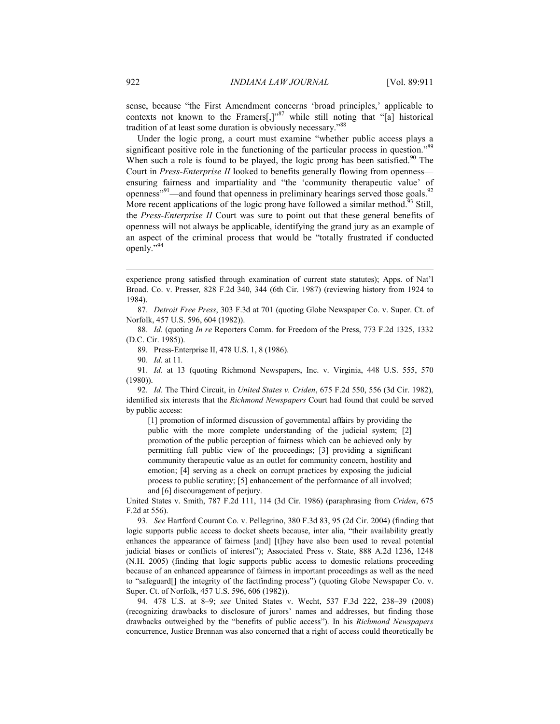sense, because "the First Amendment concerns 'broad principles,' applicable to contexts not known to the Framers[,] $v^{87}$  while still noting that "[a] historical tradition of at least some duration is obviously necessary."<sup>88</sup>

Under the logic prong, a court must examine "whether public access plays a significant positive role in the functioning of the particular process in question."<sup>89</sup> When such a role is found to be played, the logic prong has been satisfied.<sup>90</sup> The Court in *Press-Enterprise II* looked to benefits generally flowing from openness ensuring fairness and impartiality and "the 'community therapeutic value' of openness"<sup>91</sup>—and found that openness in preliminary hearings served those goals.<sup>92</sup> More recent applications of the logic prong have followed a similar method.<sup>93</sup> Still, the *Press-Enterprise II* Court was sure to point out that these general benefits of openness will not always be applicable, identifying the grand jury as an example of an aspect of the criminal process that would be "totally frustrated if conducted openly."94

experience prong satisfied through examination of current state statutes); Apps. of Nat'l Broad. Co. v. Presser*,* 828 F.2d 340, 344 (6th Cir. 1987) (reviewing history from 1924 to 1984).

 87. *Detroit Free Press*, 303 F.3d at 701 (quoting Globe Newspaper Co. v. Super. Ct. of Norfolk, 457 U.S. 596, 604 (1982)).

 88. *Id.* (quoting *In re* Reporters Comm. for Freedom of the Press, 773 F.2d 1325, 1332 (D.C. Cir. 1985)).

89. Press-Enterprise II, 478 U.S. 1, 8 (1986).

90. *Id.* at 11*.*

 91. *Id.* at 13 (quoting Richmond Newspapers, Inc. v. Virginia, 448 U.S. 555, 570 (1980)).

92*. Id.* The Third Circuit, in *United States v. Criden*, 675 F.2d 550, 556 (3d Cir. 1982), identified six interests that the *Richmond Newspapers* Court had found that could be served by public access:

[1] promotion of informed discussion of governmental affairs by providing the public with the more complete understanding of the judicial system; [2] promotion of the public perception of fairness which can be achieved only by permitting full public view of the proceedings; [3] providing a significant community therapeutic value as an outlet for community concern, hostility and emotion; [4] serving as a check on corrupt practices by exposing the judicial process to public scrutiny; [5] enhancement of the performance of all involved; and [6] discouragement of perjury.

United States v. Smith, 787 F.2d 111, 114 (3d Cir. 1986) (paraphrasing from *Criden*, 675 F.2d at 556).

 93. *See* Hartford Courant Co. v. Pellegrino, 380 F.3d 83, 95 (2d Cir. 2004) (finding that logic supports public access to docket sheets because, inter alia, "their availability greatly enhances the appearance of fairness [and] [t]hey have also been used to reveal potential judicial biases or conflicts of interest"); Associated Press v. State, 888 A.2d 1236, 1248 (N.H. 2005) (finding that logic supports public access to domestic relations proceeding because of an enhanced appearance of fairness in important proceedings as well as the need to "safeguard[] the integrity of the factfinding process") (quoting Globe Newspaper Co. v. Super. Ct. of Norfolk, 457 U.S. 596, 606 (1982)).

 94. 478 U.S. at 8–9; *see* United States v. Wecht, 537 F.3d 222, 238–39 (2008) (recognizing drawbacks to disclosure of jurors' names and addresses, but finding those drawbacks outweighed by the "benefits of public access"). In his *Richmond Newspapers* concurrence, Justice Brennan was also concerned that a right of access could theoretically be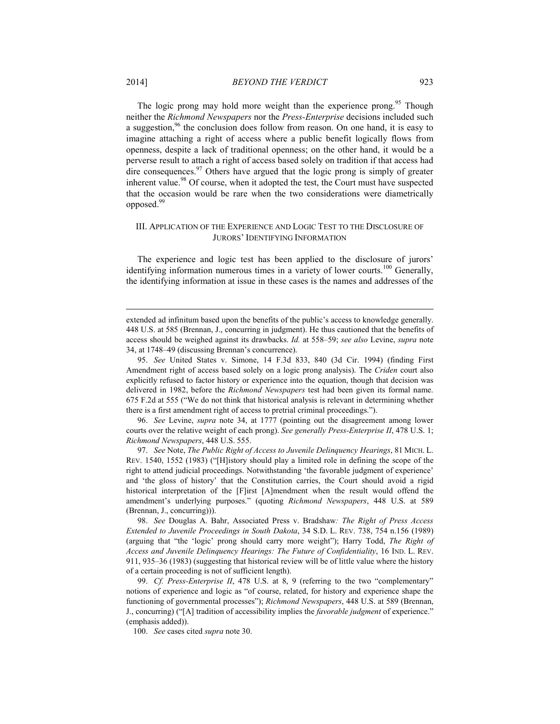The logic prong may hold more weight than the experience prong.<sup>95</sup> Though neither the *Richmond Newspapers* nor the *Press-Enterprise* decisions included such a suggestion,  $96$  the conclusion does follow from reason. On one hand, it is easy to imagine attaching a right of access where a public benefit logically flows from openness, despite a lack of traditional openness; on the other hand, it would be a perverse result to attach a right of access based solely on tradition if that access had dire consequences. $97$  Others have argued that the logic prong is simply of greater inherent value.<sup>98</sup> Of course, when it adopted the test, the Court must have suspected that the occasion would be rare when the two considerations were diametrically opposed.<sup>99</sup>

## III. APPLICATION OF THE EXPERIENCE AND LOGIC TEST TO THE DISCLOSURE OF JURORS' IDENTIFYING INFORMATION

The experience and logic test has been applied to the disclosure of jurors' identifying information numerous times in a variety of lower courts.<sup>100</sup> Generally, the identifying information at issue in these cases is the names and addresses of the

 96. *See* Levine, *supra* note 34, at 1777 (pointing out the disagreement among lower courts over the relative weight of each prong). *See generally Press-Enterprise II*, 478 U.S. 1; *Richmond Newspapers*, 448 U.S. 555.

 97. *See* Note, *The Public Right of Access to Juvenile Delinquency Hearings*, 81 MICH. L. REV. 1540, 1552 (1983) ("[H]istory should play a limited role in defining the scope of the right to attend judicial proceedings. Notwithstanding 'the favorable judgment of experience' and 'the gloss of history' that the Constitution carries, the Court should avoid a rigid historical interpretation of the [F]irst [A]mendment when the result would offend the amendment's underlying purposes." (quoting *Richmond Newspapers*, 448 U.S. at 589 (Brennan, J., concurring))).

 98. *See* Douglas A. Bahr, Associated Press v. Bradshaw*: The Right of Press Access Extended to Juvenile Proceedings in South Dakota*, 34 S.D. L. REV. 738, 754 n.156 (1989) (arguing that "the 'logic' prong should carry more weight"); Harry Todd, *The Right of Access and Juvenile Delinquency Hearings: The Future of Confidentiality*, 16 IND. L. REV. 911, 935–36 (1983) (suggesting that historical review will be of little value where the history of a certain proceeding is not of sufficient length).

 99. *Cf. Press-Enterprise II*, 478 U.S. at 8, 9 (referring to the two "complementary" notions of experience and logic as "of course, related, for history and experience shape the functioning of governmental processes"); *Richmond Newspapers*, 448 U.S. at 589 (Brennan, J., concurring) ("[A] tradition of accessibility implies the *favorable judgment* of experience." (emphasis added)).

100. *See* cases cited *supra* note 30.

extended ad infinitum based upon the benefits of the public's access to knowledge generally. 448 U.S. at 585 (Brennan, J., concurring in judgment). He thus cautioned that the benefits of access should be weighed against its drawbacks. *Id.* at 558–59; *see also* Levine, *supra* note 34, at 1748–49 (discussing Brennan's concurrence).

 <sup>95.</sup> *See* United States v. Simone, 14 F.3d 833, 840 (3d Cir. 1994) (finding First Amendment right of access based solely on a logic prong analysis). The *Criden* court also explicitly refused to factor history or experience into the equation, though that decision was delivered in 1982, before the *Richmond Newspapers* test had been given its formal name. 675 F.2d at 555 ("We do not think that historical analysis is relevant in determining whether there is a first amendment right of access to pretrial criminal proceedings.").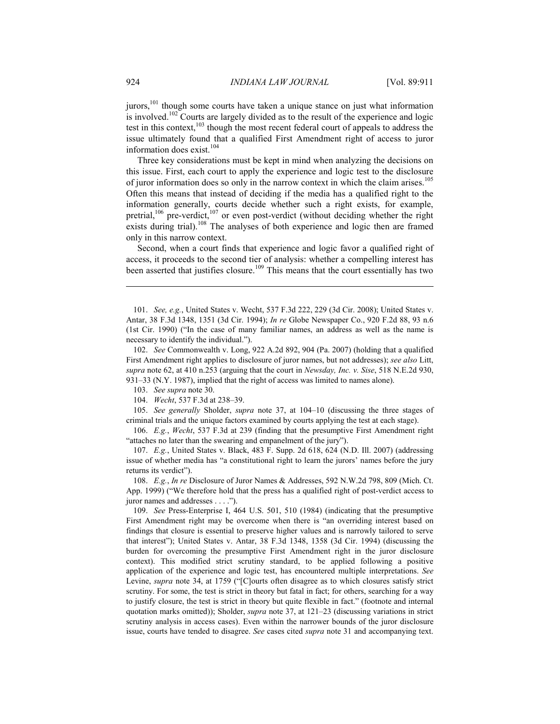jurors,<sup>101</sup> though some courts have taken a unique stance on just what information is involved.<sup>102</sup> Courts are largely divided as to the result of the experience and logic test in this context, $103$  though the most recent federal court of appeals to address the issue ultimately found that a qualified First Amendment right of access to juror information does exist. $104$ 

Three key considerations must be kept in mind when analyzing the decisions on this issue. First, each court to apply the experience and logic test to the disclosure of juror information does so only in the narrow context in which the claim arises.<sup>105</sup> Often this means that instead of deciding if the media has a qualified right to the information generally, courts decide whether such a right exists, for example, pretrial,<sup>106</sup> pre-verdict,<sup>107</sup> or even post-verdict (without deciding whether the right exists during trial).<sup>108</sup> The analyses of both experience and logic then are framed only in this narrow context.

Second, when a court finds that experience and logic favor a qualified right of access, it proceeds to the second tier of analysis: whether a compelling interest has been asserted that justifies closure.<sup>109</sup> This means that the court essentially has two

104. *Wecht*, 537 F.3d at 238–39.

 105. *See generally* Sholder, *supra* note 37, at 104–10 (discussing the three stages of criminal trials and the unique factors examined by courts applying the test at each stage).

 106. *E.g.*, *Wecht*, 537 F.3d at 239 (finding that the presumptive First Amendment right "attaches no later than the swearing and empanelment of the jury").

 107. *E.g.*, United States v. Black, 483 F. Supp. 2d 618, 624 (N.D. Ill. 2007) (addressing issue of whether media has "a constitutional right to learn the jurors' names before the jury returns its verdict").

 108. *E.g.*, *In re* Disclosure of Juror Names & Addresses, 592 N.W.2d 798, 809 (Mich. Ct. App. 1999) ("We therefore hold that the press has a qualified right of post-verdict access to juror names and addresses . . . .").

 109. *See* Press-Enterprise I, 464 U.S. 501, 510 (1984) (indicating that the presumptive First Amendment right may be overcome when there is "an overriding interest based on findings that closure is essential to preserve higher values and is narrowly tailored to serve that interest"); United States v. Antar, 38 F.3d 1348, 1358 (3d Cir. 1994) (discussing the burden for overcoming the presumptive First Amendment right in the juror disclosure context). This modified strict scrutiny standard, to be applied following a positive application of the experience and logic test, has encountered multiple interpretations. *See* Levine, *supra* note 34, at 1759 ("[C]ourts often disagree as to which closures satisfy strict scrutiny. For some, the test is strict in theory but fatal in fact; for others, searching for a way to justify closure, the test is strict in theory but quite flexible in fact." (footnote and internal quotation marks omitted)); Sholder, *supra* note 37, at 121–23 (discussing variations in strict scrutiny analysis in access cases). Even within the narrower bounds of the juror disclosure issue, courts have tended to disagree. *See* cases cited *supra* note 31 and accompanying text.

 <sup>101.</sup> *See, e.g.*, United States v. Wecht, 537 F.3d 222, 229 (3d Cir. 2008); United States v. Antar, 38 F.3d 1348, 1351 (3d Cir. 1994); *In re* Globe Newspaper Co., 920 F.2d 88, 93 n.6 (1st Cir. 1990) ("In the case of many familiar names, an address as well as the name is necessary to identify the individual.").

 <sup>102.</sup> *See* Commonwealth v. Long, 922 A.2d 892, 904 (Pa. 2007) (holding that a qualified First Amendment right applies to disclosure of juror names, but not addresses); *see also* Litt, *supra* note 62, at 410 n.253 (arguing that the court in *Newsday, Inc. v. Sise*, 518 N.E.2d 930, 931–33 (N.Y. 1987), implied that the right of access was limited to names alone).

 <sup>103.</sup> *See supra* note 30.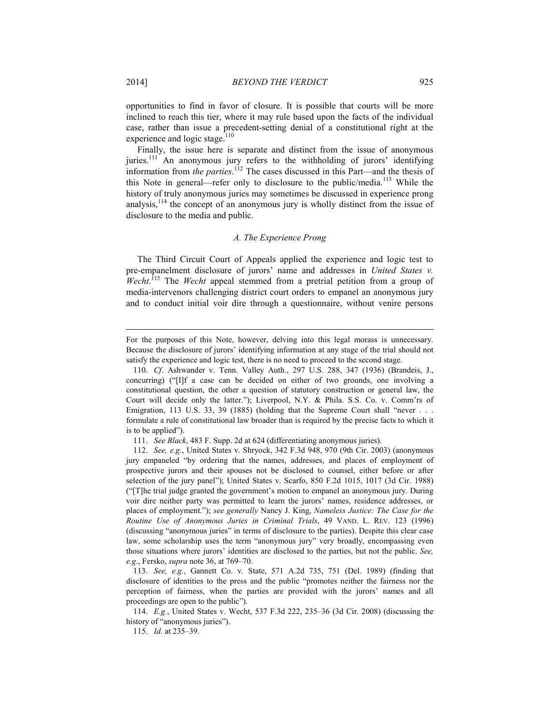opportunities to find in favor of closure. It is possible that courts will be more inclined to reach this tier, where it may rule based upon the facts of the individual case, rather than issue a precedent-setting denial of a constitutional right at the experience and logic stage.<sup>110</sup>

Finally, the issue here is separate and distinct from the issue of anonymous juries.<sup>111</sup> An anonymous jury refers to the withholding of jurors' identifying information from *the parties*. 112 The cases discussed in this Part—and the thesis of this Note in general—refer only to disclosure to the public/media.<sup>113</sup> While the history of truly anonymous juries may sometimes be discussed in experience prong analysis,  $^{114}$  the concept of an anonymous jury is wholly distinct from the issue of disclosure to the media and public.

#### *A. The Experience Prong*

The Third Circuit Court of Appeals applied the experience and logic test to pre-empanelment disclosure of jurors' name and addresses in *United States v. Wecht*. 115 The *Wecht* appeal stemmed from a pretrial petition from a group of media-intervenors challenging district court orders to empanel an anonymous jury and to conduct initial voir dire through a questionnaire, without venire persons

111. *See Black*, 483 F. Supp. 2d at 624 (differentiating anonymous juries).

 113. *See, e.g.*, Gannett Co. v. State, 571 A.2d 735, 751 (Del. 1989) (finding that disclosure of identities to the press and the public "promotes neither the fairness nor the perception of fairness, when the parties are provided with the jurors' names and all proceedings are open to the public").

 114. *E.g.*, United States v. Wecht, 537 F.3d 222, 235–36 (3d Cir. 2008) (discussing the history of "anonymous juries").

115. *Id.* at 235–39.

For the purposes of this Note, however, delving into this legal morass is unnecessary. Because the disclosure of jurors' identifying information at any stage of the trial should not satisfy the experience and logic test, there is no need to proceed to the second stage.

 <sup>110.</sup> *Cf*. Ashwander v. Tenn. Valley Auth., 297 U.S. 288, 347 (1936) (Brandeis, J., concurring) ("[I]f a case can be decided on either of two grounds, one involving a constitutional question, the other a question of statutory construction or general law, the Court will decide only the latter."); Liverpool, N.Y. & Phila. S.S. Co. v. Comm'rs of Emigration, 113 U.S. 33, 39 (1885) (holding that the Supreme Court shall "never . . . formulate a rule of constitutional law broader than is required by the precise facts to which it is to be applied").

 <sup>112.</sup> *See, e.g.*, United States v. Shryock, 342 F.3d 948, 970 (9th Cir. 2003) (anonymous jury empaneled "by ordering that the names, addresses, and places of employment of prospective jurors and their spouses not be disclosed to counsel, either before or after selection of the jury panel"); United States v. Scarfo, 850 F.2d 1015, 1017 (3d Cir. 1988) ("[T]he trial judge granted the government's motion to empanel an anonymous jury. During voir dire neither party was permitted to learn the jurors' names, residence addresses, or places of employment."); *see generally* Nancy J. King, *Nameless Justice: The Case for the Routine Use of Anonymous Juries in Criminal Trials*, 49 VAND. L. REV. 123 (1996) (discussing "anonymous juries" in terms of disclosure to the parties). Despite this clear case law, some scholarship uses the term "anonymous jury" very broadly, encompassing even those situations where jurors' identities are disclosed to the parties, but not the public. *See, e.g*., Fersko, *supra* note 36, at 769–70.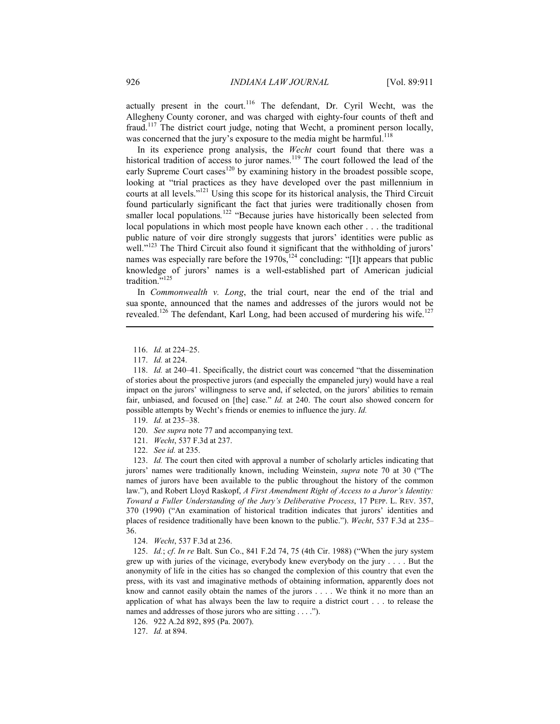actually present in the court.<sup>116</sup> The defendant, Dr. Cyril Wecht, was the Allegheny County coroner, and was charged with eighty-four counts of theft and fraud.117 The district court judge, noting that Wecht, a prominent person locally, was concerned that the jury's exposure to the media might be harmful.<sup>118</sup>

In its experience prong analysis, the *Wecht* court found that there was a historical tradition of access to juror names.<sup>119</sup> The court followed the lead of the  $e$ early Supreme Court cases<sup>120</sup> by examining history in the broadest possible scope, looking at "trial practices as they have developed over the past millennium in courts at all levels."121 Using this scope for its historical analysis, the Third Circuit found particularly significant the fact that juries were traditionally chosen from smaller local populations.<sup>122</sup> "Because juries have historically been selected from local populations in which most people have known each other . . . the traditional public nature of voir dire strongly suggests that jurors' identities were public as well."<sup>123</sup> The Third Circuit also found it significant that the withholding of jurors' names was especially rare before the 1970s,<sup>124</sup> concluding: "[I]t appears that public knowledge of jurors' names is a well-established part of American judicial tradition."<sup>125</sup>

In *Commonwealth v. Long*, the trial court, near the end of the trial and sua sponte, announced that the names and addresses of the jurors would not be revealed.<sup>126</sup> The defendant, Karl Long, had been accused of murdering his wife.<sup>127</sup>

116. *Id.* at 224–25.

1

- 120. *See supra* note 77 and accompanying text.
- 121. *Wecht*, 537 F.3d at 237.
- 122. *See id.* at 235.

 123. *Id.* The court then cited with approval a number of scholarly articles indicating that jurors' names were traditionally known, including Weinstein, *supra* note 70 at 30 ("The names of jurors have been available to the public throughout the history of the common law."), and Robert Lloyd Raskopf, *A First Amendment Right of Access to a Juror's Identity: Toward a Fuller Understanding of the Jury's Deliberative Process*, 17 PEPP. L. REV. 357, 370 (1990) ("An examination of historical tradition indicates that jurors' identities and places of residence traditionally have been known to the public."). *Wecht*, 537 F.3d at 235– 36.

124. *Wecht*, 537 F.3d at 236.

 125. *Id.*; *cf*. *In re* Balt. Sun Co., 841 F.2d 74, 75 (4th Cir. 1988) ("When the jury system grew up with juries of the vicinage, everybody knew everybody on the jury . . . . But the anonymity of life in the cities has so changed the complexion of this country that even the press, with its vast and imaginative methods of obtaining information, apparently does not know and cannot easily obtain the names of the jurors . . . . We think it no more than an application of what has always been the law to require a district court . . . to release the names and addresses of those jurors who are sitting . . . .").

126. 922 A.2d 892, 895 (Pa. 2007).

127. *Id.* at 894.

 <sup>117.</sup> *Id.* at 224.

 <sup>118.</sup> *Id.* at 240–41. Specifically, the district court was concerned "that the dissemination of stories about the prospective jurors (and especially the empaneled jury) would have a real impact on the jurors' willingness to serve and, if selected, on the jurors' abilities to remain fair, unbiased, and focused on [the] case." *Id.* at 240. The court also showed concern for possible attempts by Wecht's friends or enemies to influence the jury. *Id.*

 <sup>119.</sup> *Id.* at 235–38.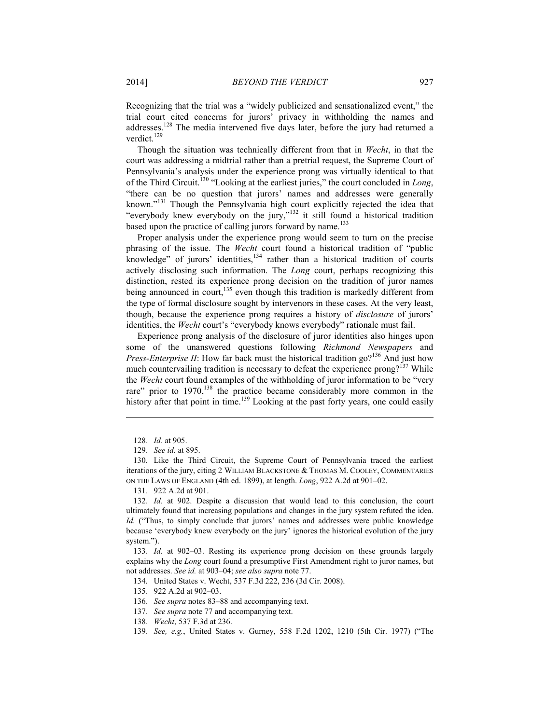Recognizing that the trial was a "widely publicized and sensationalized event," the trial court cited concerns for jurors' privacy in withholding the names and addresses.128 The media intervened five days later, before the jury had returned a verdict.<sup>129</sup>

Though the situation was technically different from that in *Wecht*, in that the court was addressing a midtrial rather than a pretrial request, the Supreme Court of Pennsylvania's analysis under the experience prong was virtually identical to that of the Third Circuit.130 "Looking at the earliest juries," the court concluded in *Long*, "there can be no question that jurors' names and addresses were generally known."131 Though the Pennsylvania high court explicitly rejected the idea that "everybody knew everybody on the jury,"<sup>132</sup> it still found a historical tradition based upon the practice of calling jurors forward by name.<sup>133</sup>

Proper analysis under the experience prong would seem to turn on the precise phrasing of the issue. The *Wecht* court found a historical tradition of "public knowledge" of jurors' identities, $134$  rather than a historical tradition of courts actively disclosing such information. The *Long* court, perhaps recognizing this distinction, rested its experience prong decision on the tradition of juror names being announced in court, $135$  even though this tradition is markedly different from the type of formal disclosure sought by intervenors in these cases. At the very least, though, because the experience prong requires a history of *disclosure* of jurors' identities, the *Wecht* court's "everybody knows everybody" rationale must fail.

Experience prong analysis of the disclosure of juror identities also hinges upon some of the unanswered questions following *Richmond Newspapers* and *Press-Enterprise II*: How far back must the historical tradition go?<sup>136</sup> And just how much countervailing tradition is necessary to defeat the experience prong?<sup>137</sup> While the *Wecht* court found examples of the withholding of juror information to be "very rare" prior to 1970,<sup>138</sup> the practice became considerably more common in the history after that point in time.<sup>139</sup> Looking at the past forty years, one could easily

1

131. 922 A.2d at 901.

134. United States v. Wecht, 537 F.3d 222, 236 (3d Cir. 2008).

135. 922 A.2d at 902–03.

136. *See supra* notes 83–88 and accompanying text.

- 137. *See supra* note 77 and accompanying text.
- 138. *Wecht*, 537 F.3d at 236.
- 139. *See, e.g.*, United States v. Gurney, 558 F.2d 1202, 1210 (5th Cir. 1977) ("The

 <sup>128.</sup> *Id.* at 905.

 <sup>129.</sup> *See id.* at 895.

 <sup>130.</sup> Like the Third Circuit, the Supreme Court of Pennsylvania traced the earliest iterations of the jury, citing 2 WILLIAM BLACKSTONE & THOMAS M. COOLEY, COMMENTARIES ON THE LAWS OF ENGLAND (4th ed. 1899), at length. *Long*, 922 A.2d at 901–02.

 <sup>132.</sup> *Id.* at 902. Despite a discussion that would lead to this conclusion, the court ultimately found that increasing populations and changes in the jury system refuted the idea. *Id.* ("Thus, to simply conclude that jurors' names and addresses were public knowledge because 'everybody knew everybody on the jury' ignores the historical evolution of the jury system.").

 <sup>133.</sup> *Id.* at 902–03. Resting its experience prong decision on these grounds largely explains why the *Long* court found a presumptive First Amendment right to juror names, but not addresses. *See id.* at 903–04; *see also supra* note 77.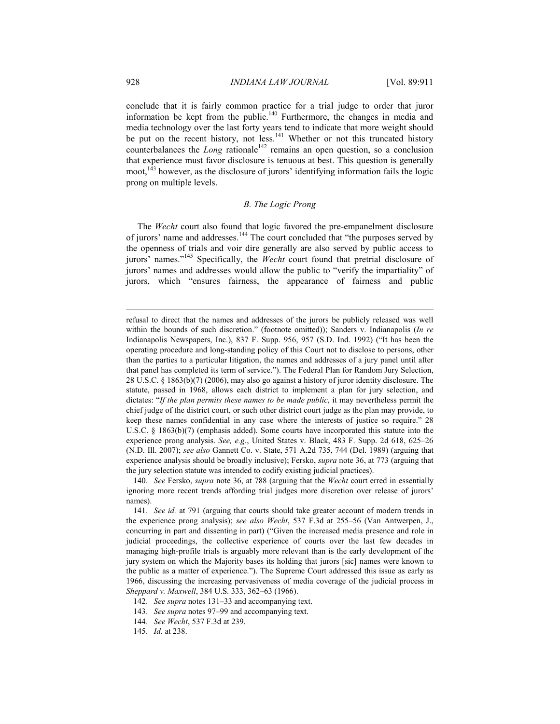conclude that it is fairly common practice for a trial judge to order that juror information be kept from the public.<sup>140</sup> Furthermore, the changes in media and media technology over the last forty years tend to indicate that more weight should be put on the recent history, not less.<sup>141</sup> Whether or not this truncated history counterbalances the *Long* rationale<sup>142</sup> remains an open question, so a conclusion that experience must favor disclosure is tenuous at best. This question is generally moot,<sup>143</sup> however, as the disclosure of jurors' identifying information fails the logic prong on multiple levels.

## *B. The Logic Prong*

The *Wecht* court also found that logic favored the pre-empanelment disclosure of jurors' name and addresses.<sup>144</sup> The court concluded that "the purposes served by the openness of trials and voir dire generally are also served by public access to jurors' names."145 Specifically, the *Wecht* court found that pretrial disclosure of jurors' names and addresses would allow the public to "verify the impartiality" of jurors, which "ensures fairness, the appearance of fairness and public

refusal to direct that the names and addresses of the jurors be publicly released was well within the bounds of such discretion." (footnote omitted)); Sanders v. Indianapolis (*In re* Indianapolis Newspapers, Inc.), 837 F. Supp. 956, 957 (S.D. Ind. 1992) ("It has been the operating procedure and long-standing policy of this Court not to disclose to persons, other than the parties to a particular litigation, the names and addresses of a jury panel until after that panel has completed its term of service."). The Federal Plan for Random Jury Selection, 28 U.S.C. § 1863(b)(7) (2006), may also go against a history of juror identity disclosure. The statute, passed in 1968, allows each district to implement a plan for jury selection, and dictates: "*If the plan permits these names to be made public*, it may nevertheless permit the chief judge of the district court, or such other district court judge as the plan may provide, to keep these names confidential in any case where the interests of justice so require." 28 U.S.C. § 1863(b)(7) (emphasis added). Some courts have incorporated this statute into the experience prong analysis. *See, e.g.*, United States v. Black, 483 F. Supp. 2d 618, 625–26 (N.D. Ill. 2007); *see also* Gannett Co. v. State, 571 A.2d 735, 744 (Del. 1989) (arguing that experience analysis should be broadly inclusive); Fersko, *supra* note 36, at 773 (arguing that the jury selection statute was intended to codify existing judicial practices).

 <sup>140.</sup> *See* Fersko, *supra* note 36, at 788 (arguing that the *Wecht* court erred in essentially ignoring more recent trends affording trial judges more discretion over release of jurors' names).

 <sup>141.</sup> *See id.* at 791 (arguing that courts should take greater account of modern trends in the experience prong analysis); *see also Wecht*, 537 F.3d at 255–56 (Van Antwerpen, J., concurring in part and dissenting in part) ("Given the increased media presence and role in judicial proceedings, the collective experience of courts over the last few decades in managing high-profile trials is arguably more relevant than is the early development of the jury system on which the Majority bases its holding that jurors [sic] names were known to the public as a matter of experience."). The Supreme Court addressed this issue as early as 1966, discussing the increasing pervasiveness of media coverage of the judicial process in *Sheppard v. Maxwell*, 384 U.S. 333, 362–63 (1966).

 <sup>142.</sup> *See supra* notes 131–33 and accompanying text.

 <sup>143.</sup> *See supra* notes 97–99 and accompanying text.

 <sup>144.</sup> *See Wecht*, 537 F.3d at 239.

 <sup>145.</sup> *Id.* at 238.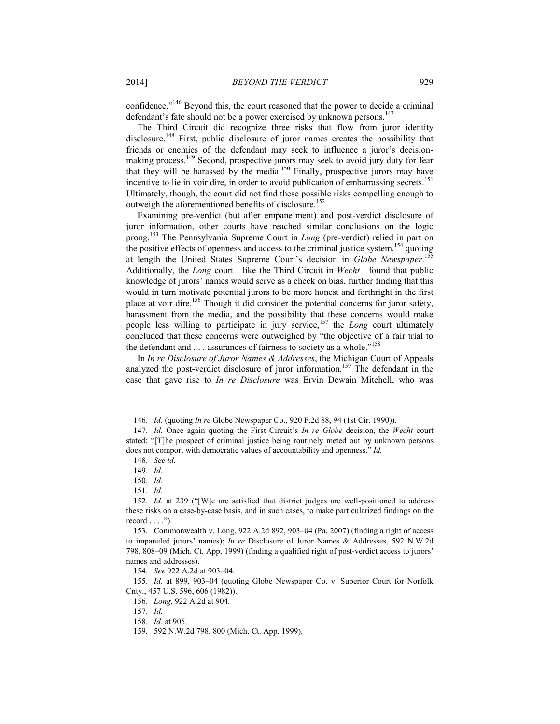confidence."146 Beyond this, the court reasoned that the power to decide a criminal defendant's fate should not be a power exercised by unknown persons.<sup>147</sup>

The Third Circuit did recognize three risks that flow from juror identity disclosure.<sup>148</sup> First, public disclosure of juror names creates the possibility that friends or enemies of the defendant may seek to influence a juror's decisionmaking process.<sup>149</sup> Second, prospective jurors may seek to avoid jury duty for fear that they will be harassed by the media.<sup>150</sup> Finally, prospective jurors may have incentive to lie in voir dire, in order to avoid publication of embarrassing secrets.<sup>151</sup> Ultimately, though, the court did not find these possible risks compelling enough to outweigh the aforementioned benefits of disclosure.<sup>152</sup>

Examining pre-verdict (but after empanelment) and post-verdict disclosure of juror information, other courts have reached similar conclusions on the logic prong.153 The Pennsylvania Supreme Court in *Long* (pre-verdict) relied in part on the positive effects of openness and access to the criminal justice system,  $154$  quoting at length the United States Supreme Court's decision in *Globe Newspaper*. 155 Additionally, the *Long* court—like the Third Circuit in *Wecht*—found that public knowledge of jurors' names would serve as a check on bias, further finding that this would in turn motivate potential jurors to be more honest and forthright in the first place at voir dire.<sup>156</sup> Though it did consider the potential concerns for juror safety, harassment from the media, and the possibility that these concerns would make people less willing to participate in jury service,<sup>157</sup> the *Long* court ultimately concluded that these concerns were outweighed by "the objective of a fair trial to the defendant and . . . assurances of fairness to society as a whole."<sup>158</sup>

In *In re Disclosure of Juror Names & Addresses*, the Michigan Court of Appeals analyzed the post-verdict disclosure of juror information.<sup>159</sup> The defendant in the case that gave rise to *In re Disclosure* was Ervin Dewain Mitchell, who was

<u>.</u>

154. *See* 922 A.2d at 903–04.

 155. *Id.* at 899, 903–04 (quoting Globe Newspaper Co. v. Superior Court for Norfolk Cnty., 457 U.S. 596, 606 (1982)).

156. *Long*, 922 A.2d at 904.

157. *Id.*

158. *Id.* at 905.

 <sup>146.</sup> *Id.* (quoting *In re* Globe Newspaper Co., 920 F.2d 88, 94 (1st Cir. 1990)).

 <sup>147.</sup> *Id.* Once again quoting the First Circuit's *In re Globe* decision, the *Wecht* court stated: "[T]he prospect of criminal justice being routinely meted out by unknown persons does not comport with democratic values of accountability and openness." *Id.*

 <sup>148.</sup> *See id.*

 <sup>149.</sup> *Id.*

 <sup>150.</sup> *Id.*

 <sup>151.</sup> *Id.*

 <sup>152.</sup> *Id.* at 239 ("[W]e are satisfied that district judges are well-positioned to address these risks on a case-by-case basis, and in such cases, to make particularized findings on the record  $\dots$ .").

 <sup>153.</sup> Commonwealth v. Long, 922 A.2d 892, 903–04 (Pa. 2007) (finding a right of access to impaneled jurors' names); *In re* Disclosure of Juror Names & Addresses, 592 N.W.2d 798, 808–09 (Mich. Ct. App. 1999) (finding a qualified right of post-verdict access to jurors' names and addresses).

 <sup>159. 592</sup> N.W.2d 798, 800 (Mich. Ct. App. 1999).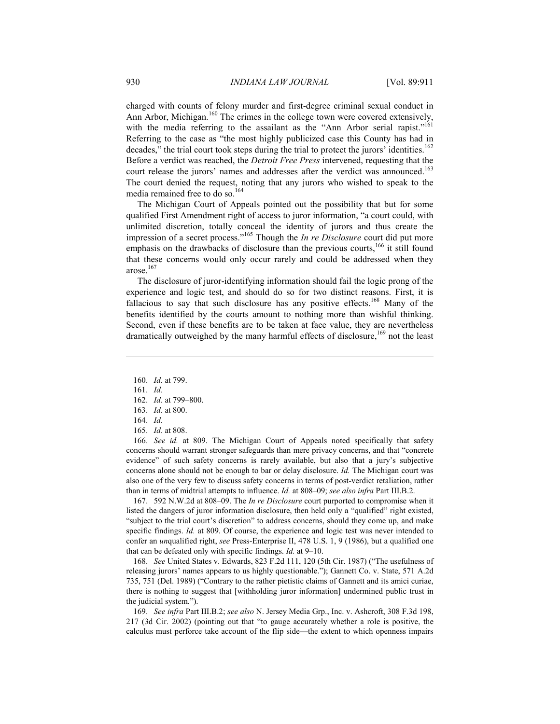charged with counts of felony murder and first-degree criminal sexual conduct in Ann Arbor, Michigan.<sup>160</sup> The crimes in the college town were covered extensively, with the media referring to the assailant as the "Ann Arbor serial rapist."<sup>161</sup> Referring to the case as "the most highly publicized case this County has had in decades," the trial court took steps during the trial to protect the jurors' identities.<sup>162</sup> Before a verdict was reached, the *Detroit Free Press* intervened, requesting that the court release the jurors' names and addresses after the verdict was announced.<sup>163</sup> The court denied the request, noting that any jurors who wished to speak to the media remained free to do so.<sup>164</sup>

The Michigan Court of Appeals pointed out the possibility that but for some qualified First Amendment right of access to juror information, "a court could, with unlimited discretion, totally conceal the identity of jurors and thus create the impression of a secret process."165 Though the *In re Disclosure* court did put more emphasis on the drawbacks of disclosure than the previous courts, $166$  it still found that these concerns would only occur rarely and could be addressed when they arose.167

The disclosure of juror-identifying information should fail the logic prong of the experience and logic test, and should do so for two distinct reasons. First, it is fallacious to say that such disclosure has any positive effects.<sup>168</sup> Many of the benefits identified by the courts amount to nothing more than wishful thinking. Second, even if these benefits are to be taken at face value, they are nevertheless dramatically outweighed by the many harmful effects of disclosure,<sup>169</sup> not the least

1

- 162. *Id.* at 799–800.
- 163. *Id.* at 800.
- 164. *Id.*
- 165. *Id.* at 808.

 166. *See id.* at 809. The Michigan Court of Appeals noted specifically that safety concerns should warrant stronger safeguards than mere privacy concerns, and that "concrete evidence" of such safety concerns is rarely available, but also that a jury's subjective concerns alone should not be enough to bar or delay disclosure. *Id.* The Michigan court was also one of the very few to discuss safety concerns in terms of post-verdict retaliation, rather than in terms of midtrial attempts to influence. *Id.* at 808–09; *see also infra* Part III.B.2.

 167. 592 N.W.2d at 808–09. The *In re Disclosure* court purported to compromise when it listed the dangers of juror information disclosure, then held only a "qualified" right existed, "subject to the trial court's discretion" to address concerns, should they come up, and make specific findings. *Id.* at 809. Of course, the experience and logic test was never intended to confer an *un*qualified right, *see* Press-Enterprise II, 478 U.S. 1, 9 (1986), but a qualified one that can be defeated only with specific findings. *Id.* at 9–10.

 168. *See* United States v. Edwards, 823 F.2d 111, 120 (5th Cir. 1987) ("The usefulness of releasing jurors' names appears to us highly questionable."); Gannett Co. v. State, 571 A.2d 735, 751 (Del. 1989) ("Contrary to the rather pietistic claims of Gannett and its amici curiae, there is nothing to suggest that [withholding juror information] undermined public trust in the judicial system.").

 169. *See infra* Part III.B.2; *see also* N. Jersey Media Grp., Inc. v. Ashcroft, 308 F.3d 198, 217 (3d Cir. 2002) (pointing out that "to gauge accurately whether a role is positive, the calculus must perforce take account of the flip side—the extent to which openness impairs

 <sup>160.</sup> *Id.* at 799.

 <sup>161.</sup> *Id.*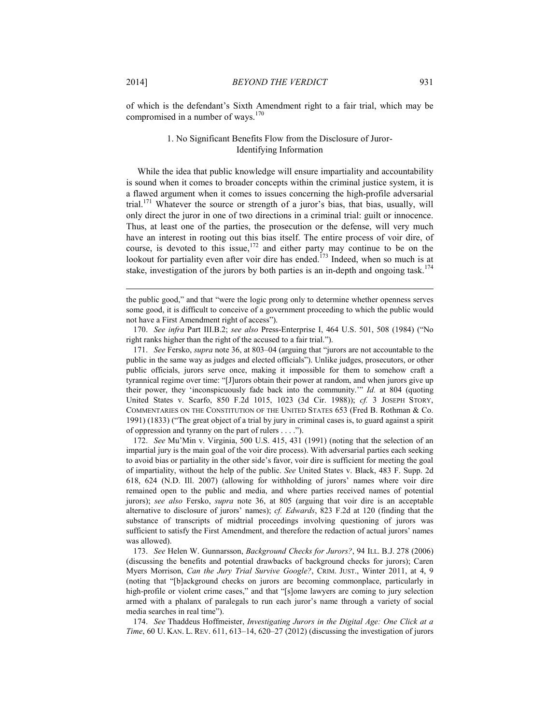of which is the defendant's Sixth Amendment right to a fair trial, which may be compromised in a number of ways.<sup>170</sup>

## 1. No Significant Benefits Flow from the Disclosure of Juror-Identifying Information

While the idea that public knowledge will ensure impartiality and accountability is sound when it comes to broader concepts within the criminal justice system, it is a flawed argument when it comes to issues concerning the high-profile adversarial trial.<sup>171</sup> Whatever the source or strength of a juror's bias, that bias, usually, will only direct the juror in one of two directions in a criminal trial: guilt or innocence. Thus, at least one of the parties, the prosecution or the defense, will very much have an interest in rooting out this bias itself. The entire process of voir dire, of course, is devoted to this issue,<sup>172</sup> and either party may continue to be on the lookout for partiality even after voir dire has ended.<sup>173</sup> Indeed, when so much is at stake, investigation of the jurors by both parties is an in-depth and ongoing task.<sup>174</sup>

the public good," and that "were the logic prong only to determine whether openness serves some good, it is difficult to conceive of a government proceeding to which the public would not have a First Amendment right of access").

 170. *See infra* Part III.B.2; *see also* Press-Enterprise I, 464 U.S. 501, 508 (1984) ("No right ranks higher than the right of the accused to a fair trial.").

 171. *See* Fersko, *supra* note 36, at 803–04 (arguing that "jurors are not accountable to the public in the same way as judges and elected officials"). Unlike judges, prosecutors, or other public officials, jurors serve once, making it impossible for them to somehow craft a tyrannical regime over time: "[J]urors obtain their power at random, and when jurors give up their power, they 'inconspicuously fade back into the community.'" *Id.* at 804 (quoting United States v. Scarfo, 850 F.2d 1015, 1023 (3d Cir. 1988)); *cf.* 3 JOSEPH STORY, COMMENTARIES ON THE CONSTITUTION OF THE UNITED STATES 653 (Fred B. Rothman & Co. 1991) (1833) ("The great object of a trial by jury in criminal cases is, to guard against a spirit of oppression and tyranny on the part of rulers . . . .").

 172. *See* Mu'Min v. Virginia, 500 U.S. 415, 431 (1991) (noting that the selection of an impartial jury is the main goal of the voir dire process). With adversarial parties each seeking to avoid bias or partiality in the other side's favor, voir dire is sufficient for meeting the goal of impartiality, without the help of the public. *See* United States v. Black, 483 F. Supp. 2d 618, 624 (N.D. Ill. 2007) (allowing for withholding of jurors' names where voir dire remained open to the public and media, and where parties received names of potential jurors); *see also* Fersko, *supra* note 36, at 805 (arguing that voir dire is an acceptable alternative to disclosure of jurors' names); *cf. Edwards*, 823 F.2d at 120 (finding that the substance of transcripts of midtrial proceedings involving questioning of jurors was sufficient to satisfy the First Amendment, and therefore the redaction of actual jurors' names was allowed).

 173. *See* Helen W. Gunnarsson, *Background Checks for Jurors?*, 94 ILL. B.J. 278 (2006) (discussing the benefits and potential drawbacks of background checks for jurors); Caren Myers Morrison, *Can the Jury Trial Survive Google?*, CRIM. JUST., Winter 2011, at 4, 9 (noting that "[b]ackground checks on jurors are becoming commonplace, particularly in high-profile or violent crime cases," and that "[s]ome lawyers are coming to jury selection armed with a phalanx of paralegals to run each juror's name through a variety of social media searches in real time").

 174. *See* Thaddeus Hoffmeister, *Investigating Jurors in the Digital Age: One Click at a Time*, 60 U. KAN. L. REV. 611, 613–14, 620–27 (2012) (discussing the investigation of jurors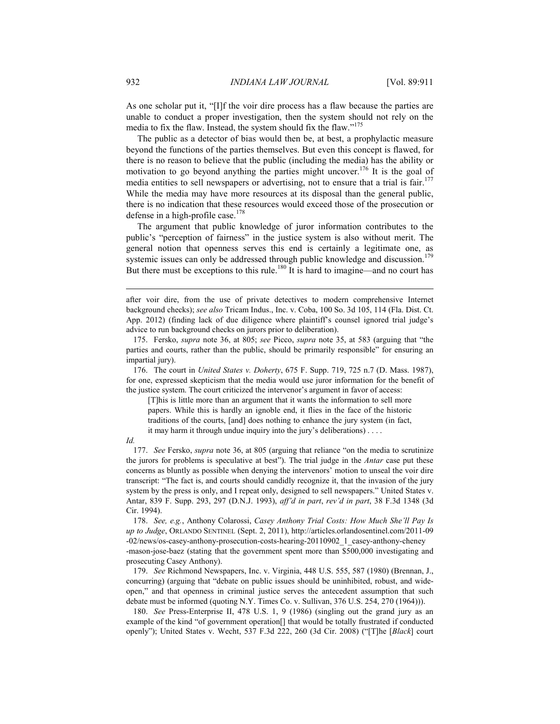As one scholar put it, "[I]f the voir dire process has a flaw because the parties are unable to conduct a proper investigation, then the system should not rely on the media to fix the flaw. Instead, the system should fix the flaw."<sup>175</sup>

The public as a detector of bias would then be, at best, a prophylactic measure beyond the functions of the parties themselves. But even this concept is flawed, for there is no reason to believe that the public (including the media) has the ability or motivation to go beyond anything the parties might uncover.176 It is the goal of media entities to sell newspapers or advertising, not to ensure that a trial is fair.<sup>177</sup> While the media may have more resources at its disposal than the general public, there is no indication that these resources would exceed those of the prosecution or defense in a high-profile case.<sup>178</sup>

The argument that public knowledge of juror information contributes to the public's "perception of fairness" in the justice system is also without merit. The general notion that openness serves this end is certainly a legitimate one, as systemic issues can only be addressed through public knowledge and discussion.<sup>179</sup> But there must be exceptions to this rule.<sup>180</sup> It is hard to imagine—and no court has

 176. The court in *United States v. Doherty*, 675 F. Supp. 719, 725 n.7 (D. Mass. 1987), for one, expressed skepticism that the media would use juror information for the benefit of the justice system. The court criticized the intervenor's argument in favor of access:

[T]his is little more than an argument that it wants the information to sell more papers. While this is hardly an ignoble end, it flies in the face of the historic traditions of the courts, [and] does nothing to enhance the jury system (in fact, it may harm it through undue inquiry into the jury's deliberations) . . . .

#### *Id.*

1

 177. *See* Fersko, *supra* note 36, at 805 (arguing that reliance "on the media to scrutinize the jurors for problems is speculative at best"). The trial judge in the *Antar* case put these concerns as bluntly as possible when denying the intervenors' motion to unseal the voir dire transcript: "The fact is, and courts should candidly recognize it, that the invasion of the jury system by the press is only, and I repeat only, designed to sell newspapers." United States v. Antar, 839 F. Supp. 293, 297 (D.N.J. 1993), *aff'd in part*, *rev'd in part*, 38 F.3d 1348 (3d Cir. 1994).

 178. *See, e.g.*, Anthony Colarossi, *Casey Anthony Trial Costs: How Much She'll Pay Is up to Judge*, ORLANDO SENTINEL (Sept. 2, 2011), http://articles.orlandosentinel.com/2011-09 -02/news/os-casey-anthony-prosecution-costs-hearing-20110902\_1\_casey-anthony-cheney [-mason-jose-baez \(stating that the government spent more than \\$500,000 investigating and](http://articles.orlandosentinel.com/2011-09-02/news/os-casey-anthony-prosecution-costs-hearing-20110902_1_casey-anthony-cheney-mason-jose-baez) prosecuting Casey Anthony).

 179. *See* Richmond Newspapers, Inc. v. Virginia, 448 U.S. 555, 587 (1980) (Brennan, J., concurring) (arguing that "debate on public issues should be uninhibited, robust, and wideopen," and that openness in criminal justice serves the antecedent assumption that such debate must be informed (quoting N.Y. Times Co. v. Sullivan, 376 U.S. 254, 270 (1964))).

 180. *See* Press-Enterprise II, 478 U.S. 1, 9 (1986) (singling out the grand jury as an example of the kind "of government operation[] that would be totally frustrated if conducted openly"); United States v. Wecht, 537 F.3d 222, 260 (3d Cir. 2008) ("[T]he [*Black*] court

after voir dire, from the use of private detectives to modern comprehensive Internet background checks); *see also* Tricam Indus., Inc. v. Coba, 100 So. 3d 105, 114 (Fla. Dist. Ct. App. 2012) (finding lack of due diligence where plaintiff's counsel ignored trial judge's advice to run background checks on jurors prior to deliberation).

 <sup>175.</sup> Fersko, *supra* note 36, at 805; *see* Picco, *supra* note 35, at 583 (arguing that "the parties and courts, rather than the public, should be primarily responsible" for ensuring an impartial jury).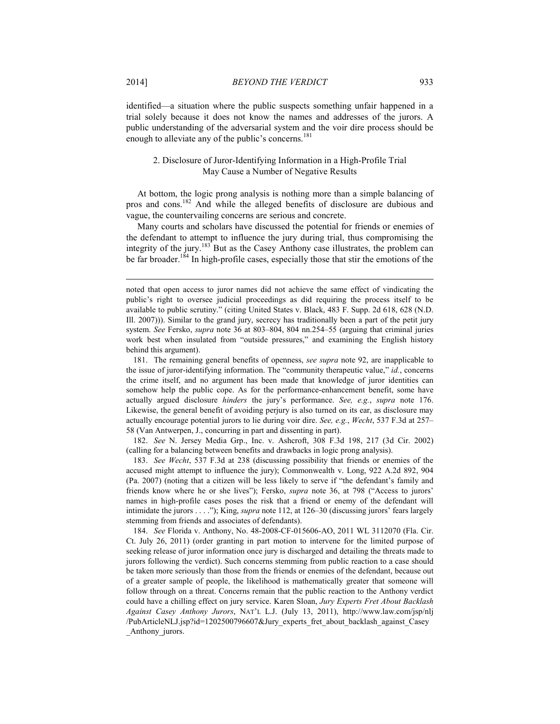identified—a situation where the public suspects something unfair happened in a trial solely because it does not know the names and addresses of the jurors. A public understanding of the adversarial system and the voir dire process should be enough to alleviate any of the public's concerns.<sup>181</sup>

## 2. Disclosure of Juror-Identifying Information in a High-Profile Trial May Cause a Number of Negative Results

At bottom, the logic prong analysis is nothing more than a simple balancing of pros and cons.182 And while the alleged benefits of disclosure are dubious and vague, the countervailing concerns are serious and concrete.

Many courts and scholars have discussed the potential for friends or enemies of the defendant to attempt to influence the jury during trial, thus compromising the integrity of the jury.183 But as the Casey Anthony case illustrates, the problem can be far broader.<sup>184</sup> In high-profile cases, especially those that stir the emotions of the

 181. The remaining general benefits of openness, *see supra* note 92, are inapplicable to the issue of juror-identifying information. The "community therapeutic value," *id.*, concerns the crime itself, and no argument has been made that knowledge of juror identities can somehow help the public cope. As for the performance-enhancement benefit, some have actually argued disclosure *hinders* the jury's performance. *See, e.g.*, *supra* note 176. Likewise, the general benefit of avoiding perjury is also turned on its ear, as disclosure may actually encourage potential jurors to lie during voir dire. *See, e.g.*, *Wecht*, 537 F.3d at 257– 58 (Van Antwerpen, J., concurring in part and dissenting in part).

 182. *See* N. Jersey Media Grp., Inc. v. Ashcroft, 308 F.3d 198, 217 (3d Cir. 2002) (calling for a balancing between benefits and drawbacks in logic prong analysis).

 183. *See Wecht*, 537 F.3d at 238 (discussing possibility that friends or enemies of the accused might attempt to influence the jury); Commonwealth v. Long, 922 A.2d 892, 904 (Pa. 2007) (noting that a citizen will be less likely to serve if "the defendant's family and friends know where he or she lives"); Fersko, *supra* note 36, at 798 ("Access to jurors' names in high-profile cases poses the risk that a friend or enemy of the defendant will intimidate the jurors . . . ."); King, *supra* note 112, at 126–30 (discussing jurors' fears largely stemming from friends and associates of defendants).

 184. *See* Florida v. Anthony, No. 48-2008-CF-015606-AO, 2011 WL 3112070 (Fla. Cir. Ct. July 26, 2011) (order granting in part motion to intervene for the limited purpose of seeking release of juror information once jury is discharged and detailing the threats made to jurors following the verdict). Such concerns stemming from public reaction to a case should be taken more seriously than those from the friends or enemies of the defendant, because out of a greater sample of people, the likelihood is mathematically greater that someone will follow through on a threat. Concerns remain that the public reaction to the Anthony verdict could have a chilling effect on jury service. Karen Sloan, *Jury Experts Fret About Backlash Against Casey Anthony Jurors*, NAT'L L.J. (July 13, 2011), http://www.law.com/jsp/nlj [/PubArticleNLJ.jsp?id=1202500796607&Jury\\_experts\\_fret\\_about\\_backlash\\_against\\_Casey](http://www.nationallawjournal.com/id=1202500796607) Anthony jurors.

noted that open access to juror names did not achieve the same effect of vindicating the public's right to oversee judicial proceedings as did requiring the process itself to be available to public scrutiny." (citing United States v. Black, 483 F. Supp. 2d 618, 628 (N.D. Ill. 2007))). Similar to the grand jury, secrecy has traditionally been a part of the petit jury system. *See* Fersko, *supra* note 36 at 803–804, 804 nn.254–55 (arguing that criminal juries work best when insulated from "outside pressures," and examining the English history behind this argument).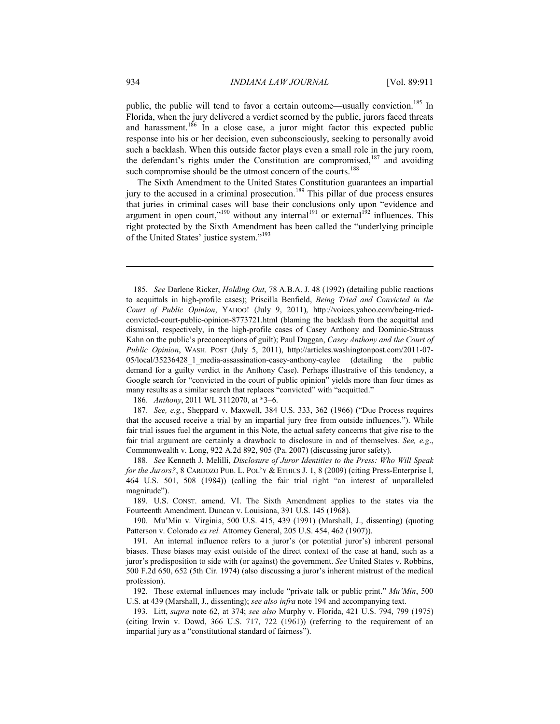public, the public will tend to favor a certain outcome—usually conviction.<sup>185</sup> In Florida, when the jury delivered a verdict scorned by the public, jurors faced threats and harassment.<sup>186</sup> In a close case, a juror might factor this expected public response into his or her decision, even subconsciously, seeking to personally avoid such a backlash. When this outside factor plays even a small role in the jury room, the defendant's rights under the Constitution are compromised,<sup>187</sup> and avoiding such compromise should be the utmost concern of the courts.<sup>188</sup>

The Sixth Amendment to the United States Constitution guarantees an impartial jury to the accused in a criminal prosecution.<sup>189</sup> This pillar of due process ensures that juries in criminal cases will base their conclusions only upon "evidence and argument in open court,"<sup>190</sup> without any internal<sup>191</sup> or external<sup>192</sup> influences. This right protected by the Sixth Amendment has been called the "underlying principle of the United States' justice system."<sup>193</sup>

186. *Anthony*, 2011 WL 3112070, at \*3–6.

 187. *See, e.g.*, Sheppard v. Maxwell, 384 U.S. 333, 362 (1966) ("Due Process requires that the accused receive a trial by an impartial jury free from outside influences."). While fair trial issues fuel the argument in this Note, the actual safety concerns that give rise to the fair trial argument are certainly a drawback to disclosure in and of themselves. *See, e.g*., Commonwealth v. Long, 922 A.2d 892, 905 (Pa. 2007) (discussing juror safety).

 188. *See* Kenneth J. Melilli, *Disclosure of Juror Identities to the Press: Who Will Speak for the Jurors?*, 8 CARDOZO PUB. L. POL'Y & ETHICS J. 1, 8 (2009) (citing Press-Enterprise I, 464 U.S. 501, 508 (1984)) (calling the fair trial right "an interest of unparalleled magnitude").

 189. U.S. CONST. amend. VI. The Sixth Amendment applies to the states via the Fourteenth Amendment. Duncan v. Louisiana, 391 U.S. 145 (1968).

 190. Mu'Min v. Virginia, 500 U.S. 415, 439 (1991) (Marshall, J., dissenting) (quoting Patterson v. Colorado *ex rel.* Attorney General, 205 U.S. 454, 462 (1907)).

 191. An internal influence refers to a juror's (or potential juror's) inherent personal biases. These biases may exist outside of the direct context of the case at hand, such as a juror's predisposition to side with (or against) the government. *See* United States v. Robbins, 500 F.2d 650, 652 (5th Cir. 1974) (also discussing a juror's inherent mistrust of the medical profession).

 192. These external influences may include "private talk or public print." *Mu'Min*, 500 U.S. at 439 (Marshall, J., dissenting); *see also infra* note 194 and accompanying text.

 193. Litt, *supra* note 62, at 374; *see also* Murphy v. Florida, 421 U.S. 794, 799 (1975) (citing Irwin v. Dowd, 366 U.S. 717, 722 (1961)) (referring to the requirement of an impartial jury as a "constitutional standard of fairness").

<sup>185</sup>*. See* Darlene Ricker, *Holding Out*, 78 A.B.A. J. 48 (1992) (detailing public reactions to acquittals in high-profile cases); Priscilla Benfield, *Being Tried and Convicted in the Court of Public Opinion*, YAHOO! (July 9, 2011), http://voices.yahoo.com/being-tried[convicted-court-public-opinion-8773721.html \(blaming the backlash from the acquittal and](http://voices.yahoo.com/being-triedconvicted-court-public-opinion-8773721.html) dismissal, respectively, in the high-profile cases of Casey Anthony and Dominic-Strauss Kahn on the public's preconceptions of guilt); Paul Duggan, *Casey Anthony and the Court of Public Opinion*, WASH. POST (July 5, 2011), http://articles.washingtonpost.com/2011-07- [05/local/35236428\\_1\\_media-assassination-casey-anthony-caylee \(detailing the public](http://www.washingtonpost.com/local/casey-anthony-and-the-court-of-public-opinion/2011/07/05/gHQAUAbkzH_story.html) demand for a guilty verdict in the Anthony Case). Perhaps illustrative of this tendency, a Google search for "convicted in the court of public opinion" yields more than four times as many results as a similar search that replaces "convicted" with "acquitted."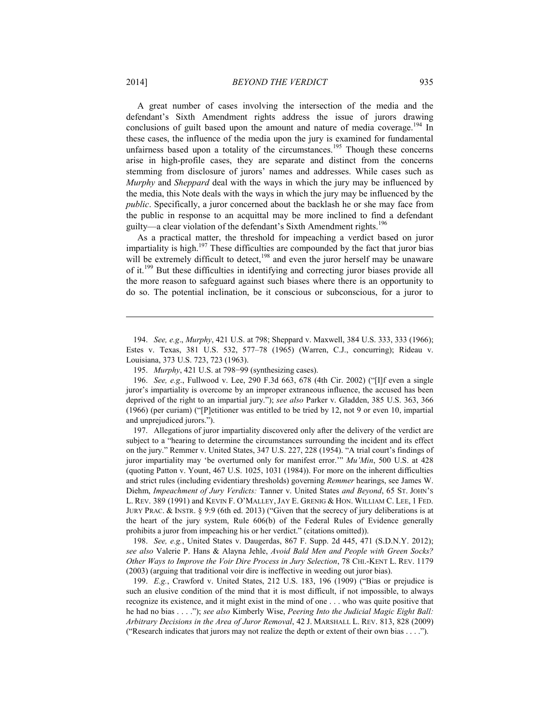A great number of cases involving the intersection of the media and the defendant's Sixth Amendment rights address the issue of jurors drawing conclusions of guilt based upon the amount and nature of media coverage.<sup>194</sup> In these cases, the influence of the media upon the jury is examined for fundamental unfairness based upon a totality of the circumstances.<sup>195</sup> Though these concerns arise in high-profile cases, they are separate and distinct from the concerns stemming from disclosure of jurors' names and addresses. While cases such as *Murphy* and *Sheppard* deal with the ways in which the jury may be influenced by the media, this Note deals with the ways in which the jury may be influenced by the *public*. Specifically, a juror concerned about the backlash he or she may face from the public in response to an acquittal may be more inclined to find a defendant guilty—a clear violation of the defendant's Sixth Amendment rights.<sup>196</sup>

As a practical matter, the threshold for impeaching a verdict based on juror impartiality is high.<sup>197</sup> These difficulties are compounded by the fact that juror bias will be extremely difficult to detect,<sup>198</sup> and even the juror herself may be unaware of it.<sup>199</sup> But these difficulties in identifying and correcting juror biases provide all the more reason to safeguard against such biases where there is an opportunity to do so. The potential inclination, be it conscious or subconscious, for a juror to

 197. Allegations of juror impartiality discovered only after the delivery of the verdict are subject to a "hearing to determine the circumstances surrounding the incident and its effect on the jury." Remmer v. United States, 347 U.S. 227, 228 (1954). "A trial court's findings of juror impartiality may 'be overturned only for manifest error.'" *Mu'Min*, 500 U.S. at 428 (quoting Patton v. Yount, 467 U.S. 1025, 1031 (1984)). For more on the inherent difficulties and strict rules (including evidentiary thresholds) governing *Remmer* hearings, see James W. Diehm, *Impeachment of Jury Verdicts:* Tanner v. United States *and Beyond*, 65 ST. JOHN'S L. REV. 389 (1991) and KEVIN F. O'MALLEY, JAY E. GRENIG & HON. WILLIAM C. LEE, 1 FED. JURY PRAC. & INSTR. § 9:9 (6th ed. 2013) ("Given that the secrecy of jury deliberations is at the heart of the jury system, Rule 606(b) of the Federal Rules of Evidence generally prohibits a juror from impeaching his or her verdict." (citations omitted)).

 198. *See, e.g.*, United States v. Daugerdas, 867 F. Supp. 2d 445, 471 (S.D.N.Y. 2012); *see also* Valerie P. Hans & Alayna Jehle, *Avoid Bald Men and People with Green Socks? Other Ways to Improve the Voir Dire Process in Jury Selection*, 78 CHI.-KENT L. REV. 1179 (2003) (arguing that traditional voir dire is ineffective in weeding out juror bias).

 199. *E.g.*, Crawford v. United States, 212 U.S. 183, 196 (1909) ("Bias or prejudice is such an elusive condition of the mind that it is most difficult, if not impossible, to always recognize its existence, and it might exist in the mind of one . . . who was quite positive that he had no bias . . . ."); *see also* Kimberly Wise, *Peering Into the Judicial Magic Eight Ball: Arbitrary Decisions in the Area of Juror Removal*, 42 J. MARSHALL L. REV. 813, 828 (2009) ("Research indicates that jurors may not realize the depth or extent of their own bias . . . .").

 <sup>194.</sup> *See, e.g*., *Murphy*, 421 U.S. at 798; Sheppard v. Maxwell, 384 U.S. 333, 333 (1966); Estes v. Texas, 381 U.S. 532, 577–78 (1965) (Warren, C.J., concurring); Rideau v. Louisiana, 373 U.S. 723, 723 (1963).

 <sup>195.</sup> *Murphy*, 421 U.S. at 798−99 (synthesizing cases).

 <sup>196.</sup> *See, e.g*., Fullwood v. Lee, 290 F.3d 663, 678 (4th Cir. 2002) ("[I]f even a single juror's impartiality is overcome by an improper extraneous influence, the accused has been deprived of the right to an impartial jury."); *see also* Parker v. Gladden, 385 U.S. 363, 366 (1966) (per curiam) ("[P]etitioner was entitled to be tried by 12, not 9 or even 10, impartial and unprejudiced jurors.").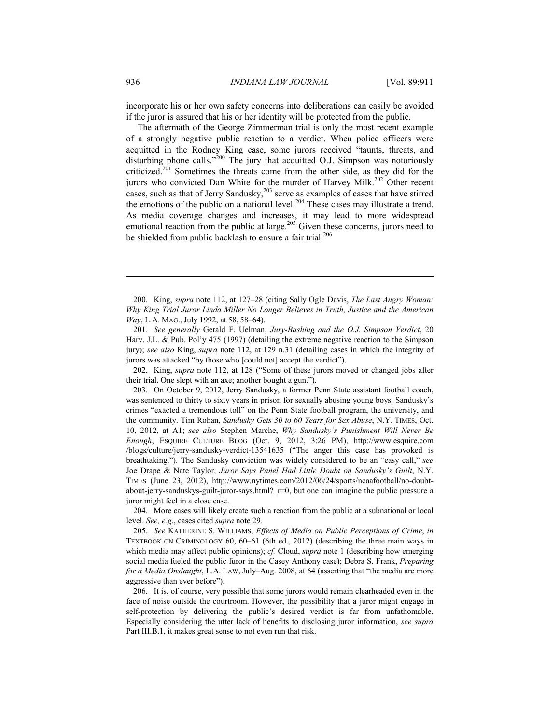incorporate his or her own safety concerns into deliberations can easily be avoided if the juror is assured that his or her identity will be protected from the public.

The aftermath of the George Zimmerman trial is only the most recent example of a strongly negative public reaction to a verdict. When police officers were acquitted in the Rodney King case, some jurors received "taunts, threats, and disturbing phone calls."<sup>200</sup> The jury that acquitted O.J. Simpson was notoriously criticized.201 Sometimes the threats come from the other side, as they did for the jurors who convicted Dan White for the murder of Harvey Milk.<sup>202</sup> Other recent cases, such as that of Jerry Sandusky, $203$  serve as examples of cases that have stirred the emotions of the public on a national level.<sup>204</sup> These cases may illustrate a trend. As media coverage changes and increases, it may lead to more widespread emotional reaction from the public at large.<sup>205</sup> Given these concerns, jurors need to be shielded from public backlash to ensure a fair trial.<sup>206</sup>

 201. *See generally* Gerald F. Uelman, *Jury-Bashing and the O.J. Simpson Verdict*, 20 Harv. J.L. & Pub. Pol'y 475 (1997) (detailing the extreme negative reaction to the Simpson jury); *see also* King, *supra* note 112, at 129 n.31 (detailing cases in which the integrity of jurors was attacked "by those who [could not] accept the verdict").

 202. King, *supra* note 112, at 128 ("Some of these jurors moved or changed jobs after their trial. One slept with an axe; another bought a gun.").

 203. On October 9, 2012, Jerry Sandusky, a former Penn State assistant football coach, was sentenced to thirty to sixty years in prison for sexually abusing young boys. Sandusky's crimes "exacted a tremendous toll" on the Penn State football program, the university, and the community. Tim Rohan, *Sandusky Gets 30 to 60 Years for Sex Abuse*, N.Y. TIMES, Oct. 10, 2012, at A1; *see also* Stephen Marche, *Why Sandusky's Punishment Will Never Be Enough*, ESQUIRE CULTURE BLOG (Oct. 9, 2012, 3:26 PM), http://www.esquire.com [/blogs/culture/jerry-sandusky-verdict-13541635 \("The anger this case has provoked is](http://www.esquire.com/blogs/culture/jerry-sandusky-verdict-13541635) breathtaking."). The Sandusky conviction was widely considered to be an "easy call," *see*  Joe Drape & Nate Taylor, *Juror Says Panel Had Little Doubt on Sandusky's Guilt*, N.Y. TIMES (June 23, 2012), http://www.nytimes.com/2012/06/24/sports/ncaafootball/no-doubt[about-jerry-sanduskys-guilt-juror-says.html?\\_r=0, but one can imagine the public pressure a](http://www.nytimes.com/2012/06/24/sports/ncaafootball/no-doubt-about-jerry-sanduskys-guilt-juror-says.html?_r=0&gwh=BF4431B796A84962BAB693E55EDB289A&gwt=pay)  juror might feel in a close case.

 204. More cases will likely create such a reaction from the public at a subnational or local level. *See, e.g*., cases cited *supra* note 29.

 205. *See* KATHERINE S. WILLIAMS, *Effects of Media on Public Perceptions of Crime*, *in* TEXTBOOK ON CRIMINOLOGY 60, 60–61 (6th ed., 2012) (describing the three main ways in which media may affect public opinions); *cf.* Cloud, *supra* note 1 (describing how emerging social media fueled the public furor in the Casey Anthony case); Debra S. Frank, *Preparing for a Media Onslaught*, L.A. LAW, July–Aug. 2008, at 64 (asserting that "the media are more aggressive than ever before").

 206. It is, of course, very possible that some jurors would remain clearheaded even in the face of noise outside the courtroom. However, the possibility that a juror might engage in self-protection by delivering the public's desired verdict is far from unfathomable. Especially considering the utter lack of benefits to disclosing juror information, *see supra*  Part III.B.1, it makes great sense to not even run that risk.

<u>.</u>

 <sup>200.</sup> King, *supra* note 112, at 127–28 (citing Sally Ogle Davis, *The Last Angry Woman: Why King Trial Juror Linda Miller No Longer Believes in Truth, Justice and the American Way*, L.A. MAG., July 1992, at 58, 58–64).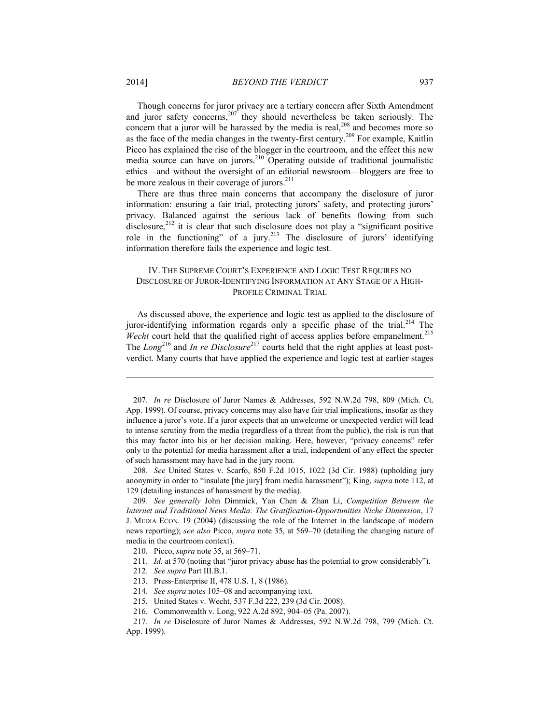Though concerns for juror privacy are a tertiary concern after Sixth Amendment and juror safety concerns, $207$  they should nevertheless be taken seriously. The concern that a juror will be harassed by the media is real, $^{208}$  and becomes more so as the face of the media changes in the twenty-first century.<sup>209</sup> For example, Kaitlin Picco has explained the rise of the blogger in the courtroom, and the effect this new media source can have on jurors.<sup>210</sup> Operating outside of traditional journalistic ethics—and without the oversight of an editorial newsroom—bloggers are free to be more zealous in their coverage of jurors.<sup>211</sup>

There are thus three main concerns that accompany the disclosure of juror information: ensuring a fair trial, protecting jurors' safety, and protecting jurors' privacy. Balanced against the serious lack of benefits flowing from such disclosure, $2^{12}$  it is clear that such disclosure does not play a "significant positive role in the functioning" of a jury.<sup>213</sup> The disclosure of jurors' identifying information therefore fails the experience and logic test.

## IV. THE SUPREME COURT'S EXPERIENCE AND LOGIC TEST REQUIRES NO DISCLOSURE OF JUROR-IDENTIFYING INFORMATION AT ANY STAGE OF A HIGH-PROFILE CRIMINAL TRIAL

As discussed above, the experience and logic test as applied to the disclosure of juror-identifying information regards only a specific phase of the trial.<sup>214</sup> The *Wecht* court held that the qualified right of access applies before empanelment.<sup>215</sup> The *Long*<sup>216</sup> and *In re Disclosure*<sup>217</sup> courts held that the right applies at least postverdict. Many courts that have applied the experience and logic test at earlier stages

 207. *In re* Disclosure of Juror Names & Addresses, 592 N.W.2d 798, 809 (Mich. Ct. App. 1999). Of course, privacy concerns may also have fair trial implications, insofar as they influence a juror's vote. If a juror expects that an unwelcome or unexpected verdict will lead to intense scrutiny from the media (regardless of a threat from the public), the risk is run that this may factor into his or her decision making. Here, however, "privacy concerns" refer only to the potential for media harassment after a trial, independent of any effect the specter of such harassment may have had in the jury room.

 208. *See* United States v. Scarfo, 850 F.2d 1015, 1022 (3d Cir. 1988) (upholding jury anonymity in order to "insulate [the jury] from media harassment"); King, *supra* note 112, at 129 (detailing instances of harassment by the media).

 209. *See generally* John Dimmick, Yan Chen & Zhan Li, *Competition Between the Internet and Traditional News Media: The Gratification-Opportunities Niche Dimension*, 17 J. MEDIA ECON. 19 (2004) (discussing the role of the Internet in the landscape of modern news reporting); *see also* Picco, *supra* note 35, at 569–70 (detailing the changing nature of media in the courtroom context).

- 211. *Id.* at 570 (noting that "juror privacy abuse has the potential to grow considerably").
- 212. *See supra* Part III.B.1.
- 213. Press-Enterprise II, 478 U.S. 1, 8 (1986).
- 214. *See supra* notes 105–08 and accompanying text.
- 215. United States v. Wecht, 537 F.3d 222, 239 (3d Cir. 2008).
- 216. Commonwealth v. Long, 922 A.2d 892, 904–05 (Pa. 2007).

 <sup>210.</sup> Picco, *supra* note 35, at 569–71.

 <sup>217.</sup> *In re* Disclosure of Juror Names & Addresses, 592 N.W.2d 798, 799 (Mich. Ct. App. 1999).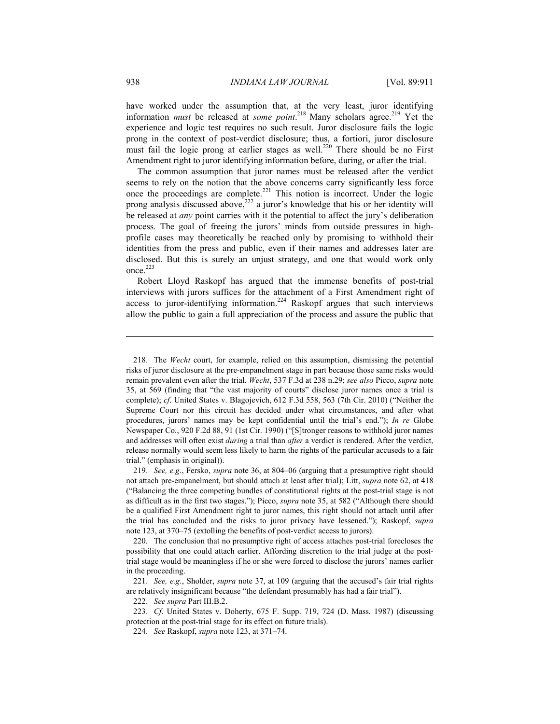have worked under the assumption that, at the very least, juror identifying information *must* be released at *some point*.<sup>218</sup> Many scholars agree.<sup>219</sup> Yet the experience and logic test requires no such result. Juror disclosure fails the logic prong in the context of post-verdict disclosure; thus, a fortiori, juror disclosure must fail the logic prong at earlier stages as well.<sup>220</sup> There should be no First Amendment right to juror identifying information before, during, or after the trial.

The common assumption that juror names must be released after the verdict seems to rely on the notion that the above concerns carry significantly less force once the proceedings are complete.<sup>221</sup> This notion is incorrect. Under the logic prong analysis discussed above, $222$  a juror's knowledge that his or her identity will be released at *any* point carries with it the potential to affect the jury's deliberation process. The goal of freeing the jurors' minds from outside pressures in highprofile cases may theoretically be reached only by promising to withhold their identities from the press and public, even if their names and addresses later are disclosed. But this is surely an unjust strategy, and one that would work only once.<sup>223</sup>

Robert Lloyd Raskopf has argued that the immense benefits of post-trial interviews with jurors suffices for the attachment of a First Amendment right of access to juror-identifying information.<sup>224</sup> Raskopf argues that such interviews allow the public to gain a full appreciation of the process and assure the public that

<u>.</u>

 <sup>218.</sup> The *Wecht* court, for example, relied on this assumption, dismissing the potential risks of juror disclosure at the pre-empanelment stage in part because those same risks would remain prevalent even after the trial. *Wecht*, 537 F.3d at 238 n.29; *see also* Picco, *supra* note 35, at 569 (finding that "the vast majority of courts" disclose juror names once a trial is complete); *cf*. United States v. Blagojevich, 612 F.3d 558, 563 (7th Cir. 2010) ("Neither the Supreme Court nor this circuit has decided under what circumstances, and after what procedures, jurors' names may be kept confidential until the trial's end."); *In re* Globe Newspaper Co*.*, 920 F.2d 88, 91 (1st Cir. 1990) ("[S]tronger reasons to withhold juror names and addresses will often exist *during* a trial than *after* a verdict is rendered. After the verdict, release normally would seem less likely to harm the rights of the particular accuseds to a fair trial." (emphasis in original)).

 <sup>219.</sup> *See, e.g*., Fersko, *supra* note 36, at 804–06 (arguing that a presumptive right should not attach pre-empanelment, but should attach at least after trial); Litt, *supra* note 62, at 418 ("Balancing the three competing bundles of constitutional rights at the post-trial stage is not as difficult as in the first two stages."); Picco, *supra* note 35, at 582 ("Although there should be a qualified First Amendment right to juror names, this right should not attach until after the trial has concluded and the risks to juror privacy have lessened."); Raskopf, *supra* note 123, at 370–75 (extolling the benefits of post-verdict access to jurors).

 <sup>220.</sup> The conclusion that no presumptive right of access attaches post-trial forecloses the possibility that one could attach earlier. Affording discretion to the trial judge at the posttrial stage would be meaningless if he or she were forced to disclose the jurors' names earlier in the proceeding.

 <sup>221.</sup> *See, e.g*., Sholder, *supra* note 37, at 109 (arguing that the accused's fair trial rights are relatively insignificant because "the defendant presumably has had a fair trial").

 <sup>222.</sup> *See supra* Part III.B.2.

 <sup>223.</sup> *Cf*. United States v. Doherty, 675 F. Supp. 719, 724 (D. Mass. 1987) (discussing protection at the post-trial stage for its effect on future trials).

 <sup>224.</sup> *See* Raskopf, *supra* note 123, at 371–74.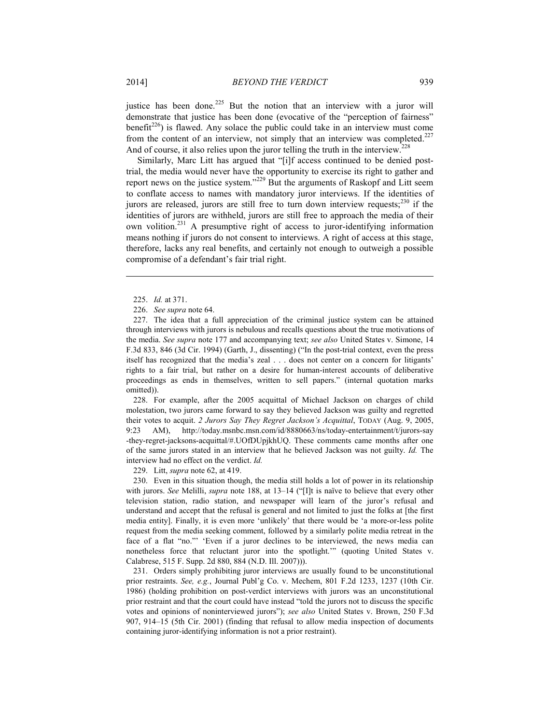justice has been done.<sup>225</sup> But the notion that an interview with a juror will demonstrate that justice has been done (evocative of the "perception of fairness" benefit<sup>226</sup>) is flawed. Any solace the public could take in an interview must come from the content of an interview, not simply that an interview was completed.<sup>227</sup> And of course, it also relies upon the juror telling the truth in the interview.<sup>228</sup>

Similarly, Marc Litt has argued that "[i]f access continued to be denied posttrial, the media would never have the opportunity to exercise its right to gather and report news on the justice system."229 But the arguments of Raskopf and Litt seem to conflate access to names with mandatory juror interviews. If the identities of jurors are released, jurors are still free to turn down interview requests; $^{230}$  if the identities of jurors are withheld, jurors are still free to approach the media of their own volition.231 A presumptive right of access to juror-identifying information means nothing if jurors do not consent to interviews. A right of access at this stage, therefore, lacks any real benefits, and certainly not enough to outweigh a possible compromise of a defendant's fair trial right.

<u>.</u>

 228. For example, after the 2005 acquittal of Michael Jackson on charges of child molestation, two jurors came forward to say they believed Jackson was guilty and regretted their votes to acquit. *2 Jurors Say They Regret Jackson's Acquittal*, TODAY (Aug. 9, 2005, [9:23 AM\), http://today.msnbc.msn.com/id/8880663/ns/today-entertainment/t/jurors-say](http://today.msnbc.msn.com/id/8880663/ns/today-entertainment/t/jurors-say) -they-regret-jacksons-acquittal/#.UOfDUpjkhUQ. These comments came months after one of the same jurors stated in an interview that he believed Jackson was not guilty. *Id.* The interview had no effect on the verdict. *Id.*

229. Litt, *supra* note 62, at 419.

 230. Even in this situation though, the media still holds a lot of power in its relationship with jurors. *See* Melilli, *supra* note 188, at 13–14 ("Ilt is naïve to believe that every other television station, radio station, and newspaper will learn of the juror's refusal and understand and accept that the refusal is general and not limited to just the folks at [the first media entity]. Finally, it is even more 'unlikely' that there would be 'a more-or-less polite request from the media seeking comment, followed by a similarly polite media retreat in the face of a flat "no."' 'Even if a juror declines to be interviewed, the news media can nonetheless force that reluctant juror into the spotlight.'" (quoting United States v. Calabrese, 515 F. Supp. 2d 880, 884 (N.D. Ill. 2007))).

 231. Orders simply prohibiting juror interviews are usually found to be unconstitutional prior restraints. *See, e.g.*, Journal Publ'g Co. v. Mechem, 801 F.2d 1233, 1237 (10th Cir. 1986) (holding prohibition on post-verdict interviews with jurors was an unconstitutional prior restraint and that the court could have instead "told the jurors not to discuss the specific votes and opinions of noninterviewed jurors"); *see also* United States v. Brown, 250 F.3d 907, 914–15 (5th Cir. 2001) (finding that refusal to allow media inspection of documents containing juror-identifying information is not a prior restraint).

 <sup>225.</sup> *Id.* at 371.

 <sup>226.</sup> *See supra* note 64.

 <sup>227.</sup> The idea that a full appreciation of the criminal justice system can be attained through interviews with jurors is nebulous and recalls questions about the true motivations of the media. *See supra* note 177 and accompanying text; *see also* United States v. Simone, 14 F.3d 833, 846 (3d Cir. 1994) (Garth, J., dissenting) ("In the post-trial context, even the press itself has recognized that the media's zeal . . . does not center on a concern for litigants' rights to a fair trial, but rather on a desire for human-interest accounts of deliberative proceedings as ends in themselves, written to sell papers." (internal quotation marks omitted)).